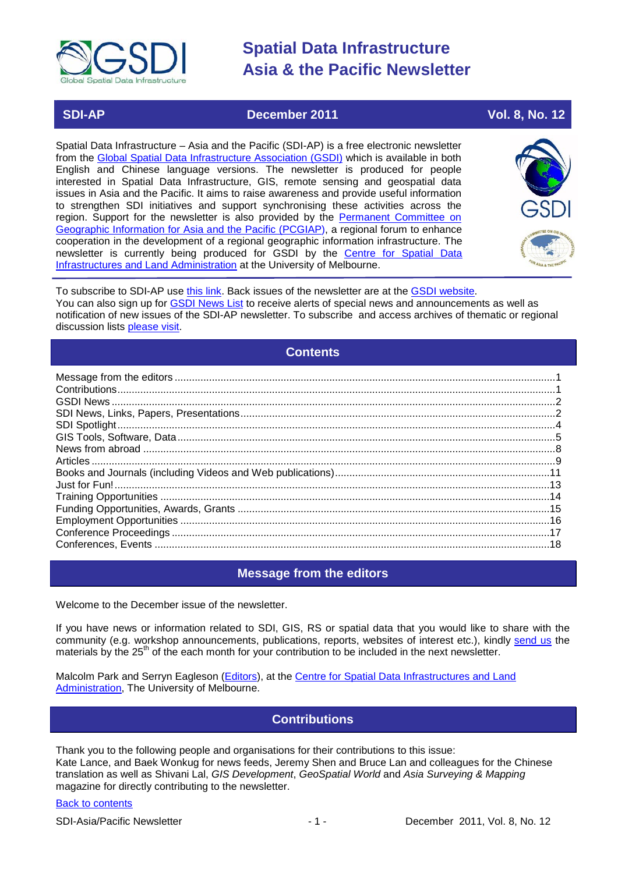

### **SDI-AP December 2011 Vol. 8, No. 12**

Spatial Data Infrastructure – Asia and the Pacific (SDI-AP) is a free electronic newsletter from the [Global Spatial Data Infrastructure Association \(GSDI\)](http://www.gsdi.org/) which is available in both English and Chinese language versions. The newsletter is produced for people interested in Spatial Data Infrastructure, GIS, remote sensing and geospatial data issues in Asia and the Pacific. It aims to raise awareness and provide useful information to strengthen SDI initiatives and support synchronising these activities across the region. Support for the newsletter is also provided by the Permanent Committee on [Geographic Information for Asia and the Pacific \(PCGIAP\)](http://www.pcgiap.org/), a regional forum to enhance cooperation in the development of a regional geographic information infrastructure. The newsletter is currently being produced for GSDI by the [Centre for Spatial Data](http://www.csdila.unimelb.edu.au/)  [Infrastructures and Land Administration](http://www.csdila.unimelb.edu.au/) at the University of Melbourne.



To subscribe to SDI-AP use [this link.](http://www.gsdi.org/newslist/gsdisubscribe.asp) Back issues of the newsletter are at the [GSDI website.](http://www.gsdi.org/newsletters.asp) You can also sign up for **GSDI News List** to receive alerts of special news and announcements as well as notification of new issues of the SDI-AP newsletter. To subscribe and access archives of thematic or regional discussion lists [please visit.](http://www.gsdi.org/discussionlists.asp)

### **Contents**

<span id="page-0-0"></span>

### **Message from the editors**

<span id="page-0-1"></span>Welcome to the December issue of the newsletter.

If you have news or information related to SDI, GIS, RS or spatial data that you would like to share with the community (e.g. workshop announcements, publications, reports, websites of interest etc.), kindly [send us](mailto:.SDI-AP@gsdi.org) the materials by the 25<sup>th</sup> of the each month for your contribution to be included in the next newsletter.

<span id="page-0-2"></span>Malcolm Park and Serryn Eagleson [\(Editors\)](mailto:Editor.SDIAP@gmail.com), at the [Centre for Spatial Data Infrastructures and Land](http://www.csdila.unimelb.edu.au/)  [Administration,](http://www.csdila.unimelb.edu.au/) The University of Melbourne.

## **Contributions**

Thank you to the following people and organisations for their contributions to this issue: Kate Lance, and Baek Wonkug for news feeds, Jeremy Shen and Bruce Lan and colleagues for the Chinese translation as well as Shivani Lal, *GIS Development*, *GeoSpatial World* and *Asia Surveying & Mapping* magazine for directly contributing to the newsletter.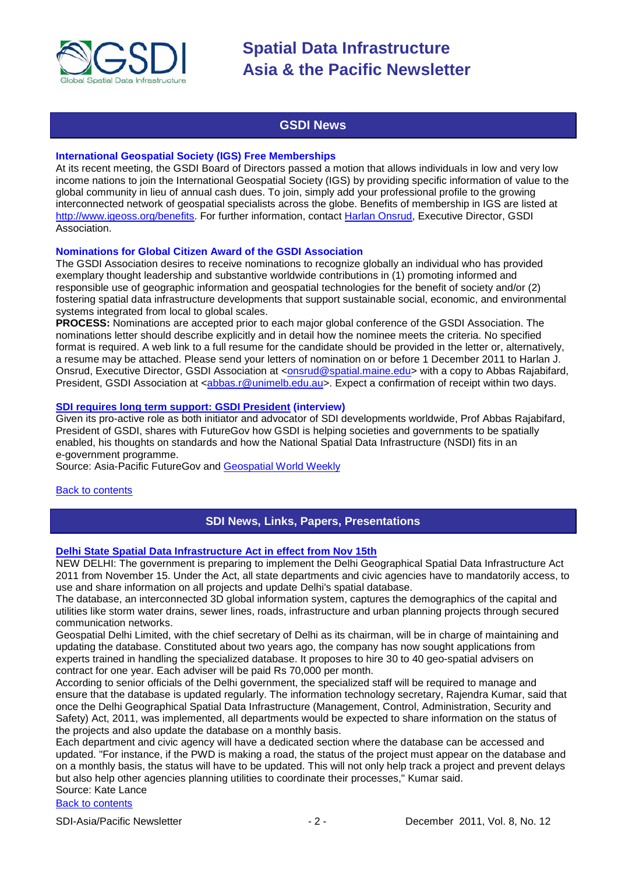

### **GSDI News**

#### <span id="page-1-0"></span>**International Geospatial Society (IGS) Free Memberships**

At its recent meeting, the GSDI Board of Directors passed a motion that allows individuals in low and very low income nations to join the International Geospatial Society (IGS) by providing specific information of value to the global community in lieu of annual cash dues. To join, simply add your professional profile to the growing interconnected network of geospatial specialists across the globe. Benefits of membership in IGS are listed at [http://www.igeoss.org/benefits.](https://owa.unimelb.edu.au/owa/redir.aspx?C=54c2b4d3973d480282dc7c38384f4204&URL=http%3a%2f%2fwww.igeoss.org%2fbenefits) For further information, contact [Harlan Onsrud,](mailto:onsrud@gsdi.org) Executive Director, GSDI Association.

#### **Nominations for Global Citizen Award of the GSDI Association**

The GSDI Association desires to receive nominations to recognize globally an individual who has provided exemplary thought leadership and substantive worldwide contributions in (1) promoting informed and responsible use of geographic information and geospatial technologies for the benefit of society and/or (2) fostering spatial data infrastructure developments that support sustainable social, economic, and environmental systems integrated from local to global scales.

**PROCESS:** Nominations are accepted prior to each major global conference of the GSDI Association. The nominations letter should describe explicitly and in detail how the nominee meets the criteria. No specified format is required. A web link to a full resume for the candidate should be provided in the letter or, alternatively, a resume may be attached. Please send your letters of nomination on or before 1 December 2011 to Harlan J. Onsrud, Executive Director, GSDI Association at [<onsrud@spatial.maine.edu>](mailto:onsrud@spatial.maine.edu) with a copy to Abbas Rajabifard, President, GSDI Association at [<abbas.r@unimelb.edu.au>](mailto:abbas.r@unimelb.edu.au). Expect a confirmation of receipt within two days.

#### **[SDI requires long term support: GSDI President](http://www.futuregov.asia/articles/2011/nov/24/driving-spatial-enablement-worldwide/) (interview)**

Given its pro-active role as both initiator and advocator of SDI developments worldwide, Prof Abbas Rajabifard, President of GSDI, shares with FutureGov how GSDI is helping societies and governments to be spatially enabled, his thoughts on standards and how the National Spatial Data Infrastructure (NSDI) fits in an e-government programme.

Source: Asia-Pacific FutureGov and [Geospatial World Weekly](http://geospatialworld.net/index.php?option=com_content&view=article&id=23531%3Asdi-requires-long-term-support-gsdi-president&catid=66%3Aapplication-miscellaneous&Itemid=1)

#### <span id="page-1-1"></span>[Back to contents](#page-0-0)

### **SDI News, Links, Papers, Presentations**

#### **[Delhi State Spatial Data Infrastructure Act in effect from Nov 15th](http://timesofindia.indiatimes.com/city/delhi/Nov-15-deadline-for-Delhi-Geographical-Spatial-Data-Infrastructure-Act-2011/articleshow/10381925.cms)**

NEW DELHI: The government is preparing to implement the Delhi Geographical Spatial Data Infrastructure Act 2011 from November 15. Under the Act, all state departments and civic agencies have to mandatorily access, to use and share information on all projects and update Delhi's spatial database.

The database, an interconnected 3D global information system, captures the demographics of the capital and utilities like storm water drains, sewer lines, roads, infrastructure and urban planning projects through secured communication networks.

Geospatial Delhi Limited, with the chief secretary of Delhi as its chairman, will be in charge of maintaining and updating the database. Constituted about two years ago, the company has now sought applications from experts trained in handling the specialized database. It proposes to hire 30 to 40 geo-spatial advisers on contract for one year. Each adviser will be paid Rs 70,000 per month.

According to senior officials of the Delhi government, the specialized staff will be required to manage and ensure that the database is updated regularly. The information technology secretary, Rajendra Kumar, said that once the Delhi Geographical Spatial Data Infrastructure (Management, Control, Administration, Security and Safety) Act, 2011, was implemented, all departments would be expected to share information on the status of the projects and also update the database on a monthly basis.

Each department and civic agency will have a dedicated section where the database can be accessed and updated. "For instance, if the PWD is making a road, the status of the project must appear on the database and on a monthly basis, the status will have to be updated. This will not only help track a project and prevent delays but also help other agencies planning utilities to coordinate their processes," Kumar said. Source: Kate Lance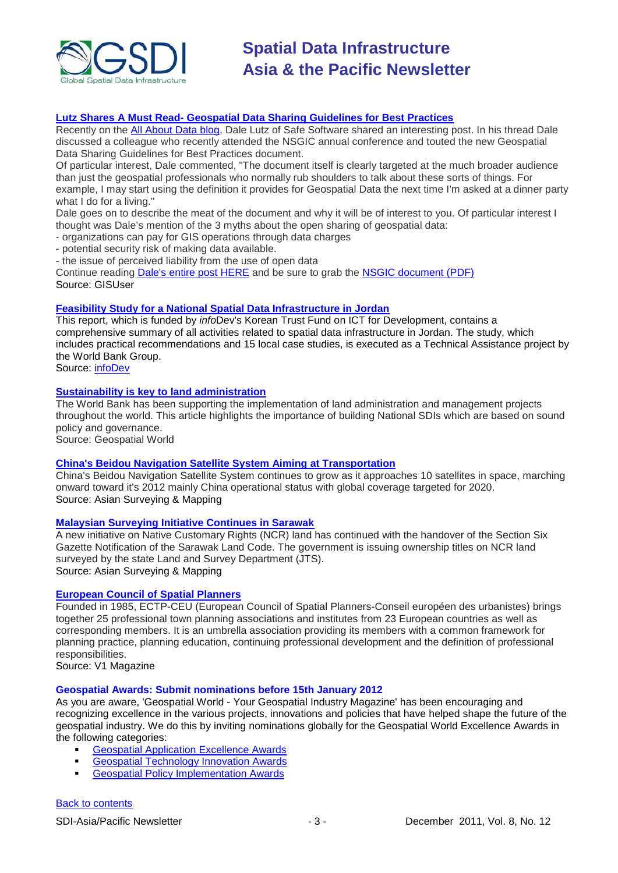

#### **Lutz Shares A Must Read- [Geospatial Data Sharing Guidelines for Best Practices](http://www.gisuser.com/content/view/25122/2/)**

Recently on the [All About Data blog,](http://blog.safe.com/) Dale Lutz of Safe Software shared an interesting post. In his thread Dale discussed a colleague who recently attended the NSGIC annual conference and touted the new Geospatial Data Sharing Guidelines for Best Practices document.

Of particular interest, Dale commented, "The document itself is clearly targeted at the much broader audience than just the geospatial professionals who normally rub shoulders to talk about these sorts of things. For example, I may start using the definition it provides for Geospatial Data the next time I'm asked at a dinner party what I do for a living."

Dale goes on to describe the meat of the document and why it will be of interest to you. Of particular interest I thought was Dale's mention of the 3 myths about the open sharing of geospatial data:

- organizations can pay for GIS operations through data charges

- potential security risk of making data available.

- the issue of perceived liability from the use of open data

Continue reading [Dale's entire post HERE](http://blog.safe.com/2011/11/best-practices-for-geospatial-data-sharing-released-by-nsgic/) and be sure to grab the [NSGIC document \(PDF\)](http://www.nsgic.org/committees1/documents/NSGIC_Data_Sharing_Guidelines_103111_Final.pdf) Source: GISUser

#### **[Feasibility Study for a National Spatial Data Infrastructure in Jordan](http://www.infodev.org/en/Publication.1119.html)**

This report, which is funded by *info*Dev's Korean Trust Fund on ICT for Development, contains a comprehensive summary of all activities related to spatial data infrastructure in Jordan. The study, which includes practical recommendations and 15 local case studies, is executed as a Technical Assistance project by the World Bank Group.

Source: [infoDev](http://www.infodev.org/en/Publication.1119.html)

#### **[Sustainability is key to land administration](http://www.geospatialworld.net/images/magazines/gw-nov11-42-44.pdf)**

The World Bank has been supporting the implementation of land administration and management projects throughout the world. This article highlights the importance of building National SDIs which are based on sound policy and governance.

Source: Geospatial World

#### **[China's Beidou Navigation Satellite System Aiming at Transportation](http://www.asmmag.com/201111252664/chinas-beidou-navigation-satellite-system-aiming-at-transportation.html)**

China's Beidou Navigation Satellite System continues to grow as it approaches 10 satellites in space, marching onward toward it's 2012 mainly China operational status with global coverage targeted for 2020. Source: Asian Surveying & Mapping

#### **[Malaysian Surveying Initiative Continues in Sarawak](http://www.asmmag.com/201111242663/malaysian-surveying-initiative-continues-in-sarawak.html)**

A new initiative on Native Customary Rights (NCR) land has continued with the handover of the Section Six Gazette Notification of the Sarawak Land Code. The government is issuing ownership titles on NCR land surveyed by the state Land and Survey Department (JTS). Source: Asian Surveying & Mapping

#### **[European Council of Spatial Planners](http://www.vector1media.com/article/features/24296-european-council-of-spatial-planners.html)**

Founded in 1985, ECTP-CEU (European Council of Spatial Planners-Conseil européen des urbanistes) brings together 25 professional town planning associations and institutes from 23 European countries as well as corresponding members. It is an umbrella association providing its members with a common framework for planning practice, planning education, continuing professional development and the definition of professional responsibilities.

Source: V1 Magazine

#### **Geospatial Awards: Submit nominations before 15th January 2012**

As you are aware, 'Geospatial World - Your Geospatial Industry Magazine' has been encouraging and recognizing excellence in the various projects, innovations and policies that have helped shape the future of the geospatial industry. We do this by inviting nominations globally for the Geospatial World Excellence Awards in the following categories:

- **[Geospatial Application Excellence Awards](http://awards.geospatialmedia.net/)**
- [Geospatial Technology Innovation Awards](http://awards.geospatialmedia.net/)
- **[Geospatial Policy Implementation Awards](http://awards.geospatialmedia.net/)**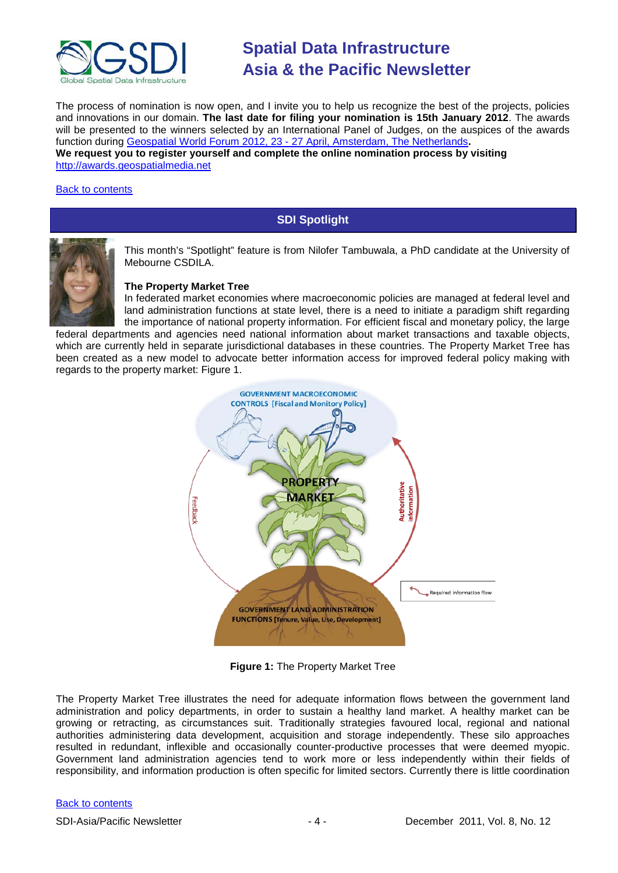

The process of nomination is now open, and I invite you to help us recognize the best of the projects, policies and innovations in our domain. **The last date for filing your nomination is 15th January 2012**. The awards will be presented to the winners selected by an International Panel of Judges, on the auspices of the awards function during Geospatial World Forum 2012, 23 - [27 April, Amsterdam, The Netherlands](http://www.geospatialworldforum.org/)**. We request you to register yourself and complete the online nomination process by visiting**  [http://awards.geospatialmedia.net](http://awards.geospatialmedia.net/)

#### <span id="page-3-0"></span>[Back to contents](#page-0-0)

### **SDI Spotlight**



This month's "Spotlight" feature is from Nilofer Tambuwala, a PhD candidate at the University of Mebourne CSDILA.

#### **The Property Market Tree**

In federated market economies where macroeconomic policies are managed at federal level and land administration functions at state level, there is a need to initiate a paradigm shift regarding the importance of national property information. For efficient fiscal and monetary policy, the large

federal departments and agencies need national information about market transactions and taxable objects, which are currently held in separate jurisdictional databases in these countries. The Property Market Tree has been created as a new model to advocate better information access for improved federal policy making with regards to the property market: Figure 1.



**Figure 1:** The Property Market Tree

The Property Market Tree illustrates the need for adequate information flows between the government land administration and policy departments, in order to sustain a healthy land market. A healthy market can be growing or retracting, as circumstances suit. Traditionally strategies favoured local, regional and national authorities administering data development, acquisition and storage independently. These silo approaches resulted in redundant, inflexible and occasionally counter-productive processes that were deemed myopic. Government land administration agencies tend to work more or less independently within their fields of responsibility, and information production is often specific for limited sectors. Currently there is little coordination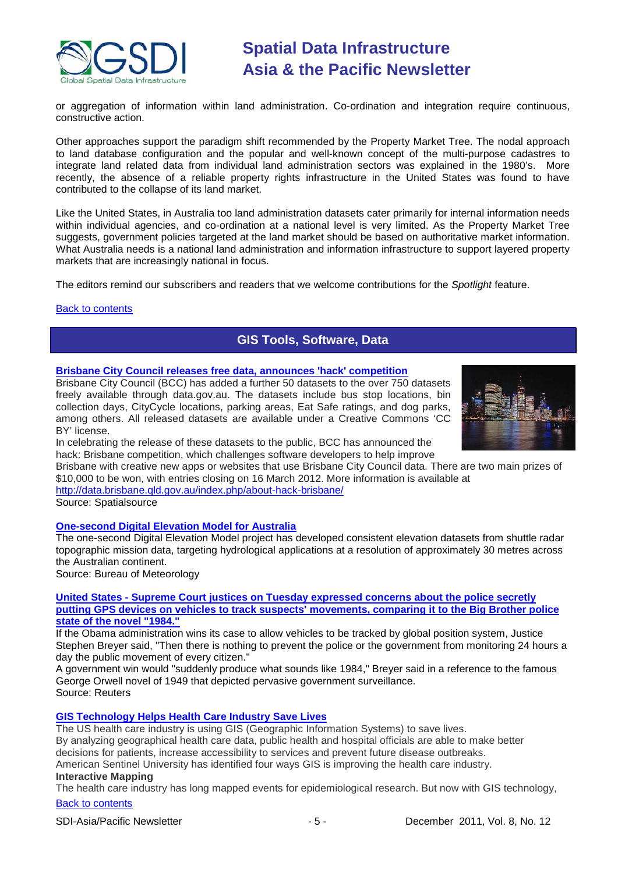

or aggregation of information within land administration. Co-ordination and integration require continuous, constructive action.

Other approaches support the paradigm shift recommended by the Property Market Tree. The nodal approach to land database configuration and the popular and well-known concept of the multi-purpose cadastres to integrate land related data from individual land administration sectors was explained in the 1980's. More recently, the absence of a reliable property rights infrastructure in the United States was found to have contributed to the collapse of its land market.

Like the United States, in Australia too land administration datasets cater primarily for internal information needs within individual agencies, and co-ordination at a national level is very limited. As the Property Market Tree suggests, government policies targeted at the land market should be based on authoritative market information. What Australia needs is a national land administration and information infrastructure to support layered property markets that are increasingly national in focus.

The editors remind our subscribers and readers that we welcome contributions for the *Spotlight* feature.

#### <span id="page-4-0"></span>**[Back to contents](#page-0-0)**

## **GIS Tools, Software, Data**

#### **[Brisbane City Council releases free data, announces 'hack' competition](http://au.mg6.mail.yahoo.com/neo/launch?.rand=8i8umgt36ghdr)**

Brisbane City Council (BCC) has added a further 50 datasets to the over 750 datasets freely available through data.gov.au. The datasets include bus stop locations, bin collection days, CityCycle locations, parking areas, Eat Safe ratings, and dog parks, among others. All released datasets are available under a Creative Commons 'CC BY' license.

In celebrating the release of these datasets to the public, BCC has announced the hack: Brisbane competition, which challenges software developers to help improve



Brisbane with creative new apps or websites that use Brisbane City Council data. There are two main prizes of \$10,000 to be won, with entries closing on 16 March 2012. More information is available at

<http://data.brisbane.qld.gov.au/index.php/about-hack-brisbane/>

Source: Spatialsource

#### **[One-second Digital Elevation Model for Australia](http://www.bom.gov.au/water/about/waterResearch/document/project2.1.pdf)**

The one-second Digital Elevation Model project has developed consistent elevation datasets from shuttle radar topographic mission data, targeting hydrological applications at a resolution of approximately 30 metres across the Australian continent.

Source: Bureau of Meteorology

#### **United States - [Supreme Court justices on Tuesday expressed concerns about the police secretly](http://www.reuters.com/article/2011/11/08/us-usa-police-gps-idUSTRE7A767520111108)  [putting GPS devices on vehicles to track suspects' movements, comparing it to the Big Brother police](http://www.reuters.com/article/2011/11/08/us-usa-police-gps-idUSTRE7A767520111108)  [state of the novel "1984."](http://www.reuters.com/article/2011/11/08/us-usa-police-gps-idUSTRE7A767520111108)**

If the Obama administration wins its case to allow vehicles to be tracked by global position system, Justice Stephen Breyer said, "Then there is nothing to prevent the police or the government from monitoring 24 hours a day the public movement of every citizen."

A government win would "suddenly produce what sounds like 1984," Breyer said in a reference to the famous George Orwell novel of 1949 that depicted pervasive government surveillance. Source: Reuters

#### **[GIS Technology Helps Health](http://www.gisuser.com/content/view/25014/2/) Care Industry Save Lives**

The US health care industry is using GIS (Geographic Information Systems) to save lives. By analyzing geographical health care data, public health and hospital officials are able to make better decisions for patients, increase accessibility to services and prevent future disease outbreaks.

American Sentinel University has identified four ways GIS is improving the health care industry.

### **Interactive Mapping**

[Back to contents](#page-0-0) The health care industry has long mapped events for epidemiological research. But now with GIS technology,

#### SDI-Asia/Pacific Newsletter  $-5 -$  December 2011, Vol. 8, No. 12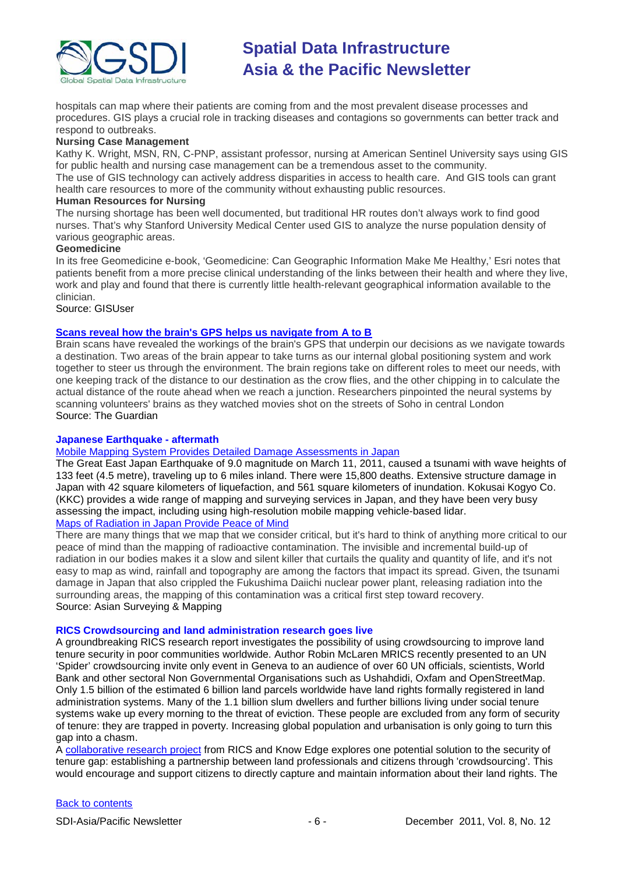

hospitals can map where their patients are coming from and the most prevalent disease processes and procedures. GIS plays a crucial role in tracking diseases and contagions so governments can better track and respond to outbreaks.

#### **Nursing Case Management**

Kathy K. Wright, MSN, RN, C-PNP, assistant professor, nursing at American Sentinel University says using GIS for public health and nursing case management can be a tremendous asset to the community. The use of GIS technology can actively address disparities in access to health care. And GIS tools can grant

health care resources to more of the community without exhausting public resources. **Human Resources for Nursing**

The nursing shortage has been well documented, but traditional HR routes don't always work to find good nurses. That's why Stanford University Medical Center used GIS to analyze the nurse population density of various geographic areas.

#### **Geomedicine**

In its free Geomedicine e-book, 'Geomedicine: Can Geographic Information Make Me Healthy,' Esri notes that patients benefit from a more precise clinical understanding of the links between their health and where they live, work and play and found that there is currently little health-relevant geographical information available to the clinician.

#### Source: GISUser

#### **[Scans reveal how the brain's GPS helps us navigate from A to B](http://www.guardian.co.uk/science/2011/nov/15/scans-reveal-brain-gps-navigate)**

Brain scans have revealed the workings of the brain's [GPS](http://www.guardian.co.uk/technology/gps) that underpin our decisions as we navigate towards a destination. Two areas of the brain appear to take turns as our internal global positioning system and work together to steer us through the environment. The brain regions take on different roles to meet our needs, with one keeping track of the distance to our destination as the crow flies, and the other chipping in to calculate the actual distance of the route ahead when we reach a junction. Researchers pinpointed the neural systems by scanning volunteers' brains as they watched movies shot on the streets of Soho in central London Source: The Guardian

#### **Japanese Earthquake - aftermath**

#### [Mobile Mapping System Provides Detailed Damage Assessments in Japan](http://www.asmmag.com/201111172582/mobile-mapping-system-provides-detailed-damage-assessments-in-japan.html)

The Great East Japan Earthquake of 9.0 magnitude on March 11, 2011, caused a tsunami with wave heights of 133 feet (4.5 metre), traveling up to 6 miles inland. There were 15,800 deaths. Extensive structure damage in Japan with 42 square kilometers of liquefaction, and 561 square kilometers of inundation. Kokusai Kogyo Co. (KKC) provides a wide range of mapping and surveying services in Japan, and they have been very busy assessing the impact, including using high-resolution mobile mapping vehicle-based lidar. [Maps of Radiation in Japan Provide Peace of Mind](http://www.asmmag.com/201111172602/maps-of-radiation-in-japan-perform-critical-task-for-peace-of-mind.html)

#### There are many things that we map that we consider critical, but it's hard to think of anything more critical to our peace of mind than the mapping of radioactive contamination. The invisible and incremental build-up of radiation in our bodies makes it a slow and silent killer that curtails the quality and quantity of life, and it's not easy to map as wind, rainfall and topography are among the factors that impact its spread. Given, the tsunami damage in Japan that also crippled the Fukushima Daiichi nuclear power plant, releasing radiation into the surrounding areas, the mapping of this contamination was a critical first step toward recovery. Source: Asian Surveying & Mapping

#### **RICS Crowdsourcing and land administration research goes live**

A groundbreaking RICS research report investigates the possibility of using crowdsourcing to improve land tenure security in poor communities worldwide. Author Robin McLaren MRICS recently presented to an UN 'Spider' crowdsourcing invite only event in Geneva to an audience of over 60 UN officials, scientists, World Bank and other sectoral Non Governmental Organisations such as Ushahdidi, Oxfam and OpenStreetMap. Only 1.5 billion of the estimated 6 billion land parcels worldwide have land rights formally registered in land administration systems. Many of the 1.1 billion slum dwellers and further billions living under social tenure systems wake up every morning to the threat of eviction. These people are excluded from any form of security of tenure: they are trapped in poverty. Increasing global population and urbanisation is only going to turn this gap into a chasm.

A [collaborative research project](http://www.rics.org/site/scripts/download_info.aspx?downloadID=8083) from RICS and Know Edge explores one potential solution to the security of tenure gap: establishing a partnership between land professionals and citizens through 'crowdsourcing'. This would encourage and support citizens to directly capture and maintain information about their land rights. The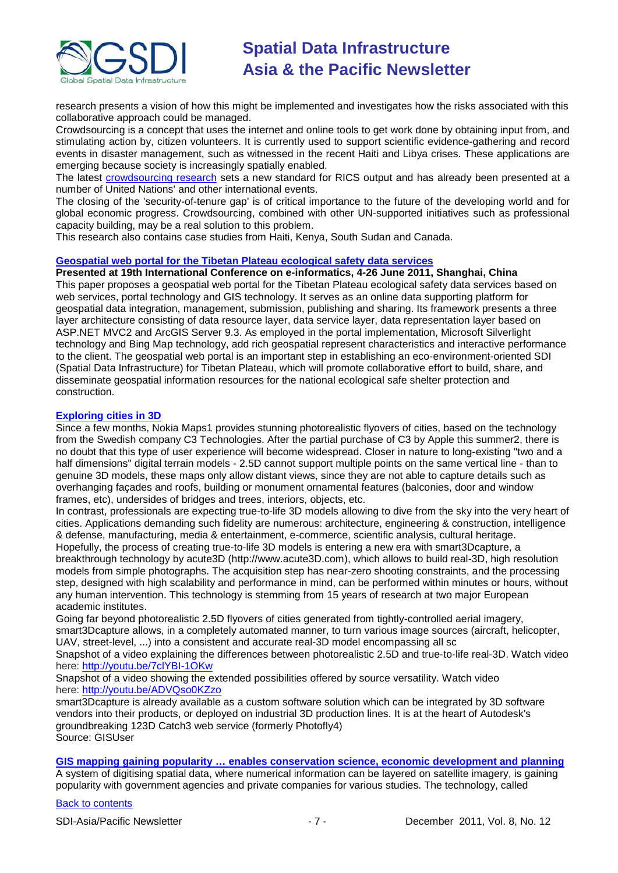

research presents a vision of how this might be implemented and investigates how the risks associated with this collaborative approach could be managed.

Crowdsourcing is a concept that uses the internet and online tools to get work done by obtaining input from, and stimulating action by, citizen volunteers. It is currently used to support scientific evidence-gathering and record events in disaster management, such as witnessed in the recent Haiti and Libya crises. These applications are emerging because society is increasingly spatially enabled.

The latest [crowdsourcing research](http://www.rics.org/site/scripts/download_info.aspx?downloadID=8083) sets a new standard for RICS output and has already been presented at a number of United Nations' and other international events.

The closing of the 'security-of-tenure gap' is of critical importance to the future of the developing world and for global economic progress. Crowdsourcing, combined with other UN-supported initiatives such as professional capacity building, may be a real solution to this problem.

This research also contains case studies from Haiti, Kenya, South Sudan and Canada.

#### **[Geospatial web portal for the Tibetan Plateau ecological safety data services](http://ieeexplore.ieee.org/xpl/freeabs_all.jsp?arnumber=5980915)**

**Presented at 19th International Conference on e-informatics, 4-26 June 2011, Shanghai, China** This paper proposes a geospatial web portal for the Tibetan Plateau ecological safety data services based on web services, portal technology and GIS technology. It serves as an online data supporting platform for geospatial data integration, management, submission, publishing and sharing. Its framework presents a three layer architecture consisting of data resource layer, data service layer, data representation layer based on ASP.NET MVC2 and ArcGIS Server 9.3. As employed in the portal implementation, Microsoft Silverlight technology and Bing Map technology, add rich geospatial represent characteristics and interactive performance to the client. The geospatial web portal is an important step in establishing an eco-environment-oriented SDI (Spatial Data Infrastructure) for Tibetan Plateau, which will promote collaborative effort to build, share, and disseminate geospatial information resources for the national ecological safe shelter protection and construction.

#### **Exploring [cities in 3D](http://www.gisuser.com/content/view/25080/2/)**

Since a few months, Nokia Maps1 provides stunning photorealistic flyovers of cities, based on the technology from the Swedish company C3 Technologies. After the partial purchase of C3 by Apple this summer2, there is no doubt that this type of user experience will become widespread. Closer in nature to long-existing "two and a half dimensions" digital terrain models - 2.5D cannot support multiple points on the same vertical line - than to genuine 3D models, these maps only allow distant views, since they are not able to capture details such as overhanging façades and roofs, building or monument ornamental features (balconies, door and window frames, etc), undersides of bridges and trees, interiors, objects, etc.

In contrast, professionals are expecting true-to-life 3D models allowing to dive from the sky into the very heart of cities. Applications demanding such fidelity are numerous: architecture, engineering & construction, intelligence & defense, manufacturing, media & entertainment, e-commerce, scientific analysis, cultural heritage.

Hopefully, the process of creating true-to-life 3D models is entering a new era with smart3Dcapture, a breakthrough technology by acute3D (http://www.acute3D.com), which allows to build real-3D, high resolution models from simple photographs. The acquisition step has near-zero shooting constraints, and the processing step, designed with high scalability and performance in mind, can be performed within minutes or hours, without any human intervention. This technology is stemming from 15 years of research at two major European academic institutes.

Going far beyond photorealistic 2.5D flyovers of cities generated from tightly-controlled aerial imagery, smart3Dcapture allows, in a completely automated manner, to turn various image sources (aircraft, helicopter, UAV, street-level, ...) into a consistent and accurate real-3D model encompassing all sc

Snapshot of a video explaining the differences between photorealistic 2.5D and true-to-life real-3D. Watch video here: <http://youtu.be/7clYBI-1OKw>

Snapshot of a video showing the extended possibilities offered by source versatility. Watch video here: <http://youtu.be/ADVQso0KZzo>

smart3Dcapture is already available as a custom software solution which can be integrated by 3D software vendors into their products, or deployed on industrial 3D production lines. It is at the heart of Autodesk's groundbreaking 123D Catch3 web service (formerly Photofly4) Source: GISUser

### **[GIS mapping gaining popularity … enables conservation science, economic development and planning](http://articles.economictimes.indiatimes.com/2011-10-13/news/30275214_1_gis-mapping-satellite-imagery-income-distribution)**

A system of digitising spatial data, where numerical information can be layered on satellite imagery, is gaining popularity with government agencies and private companies for various studies. The technology, called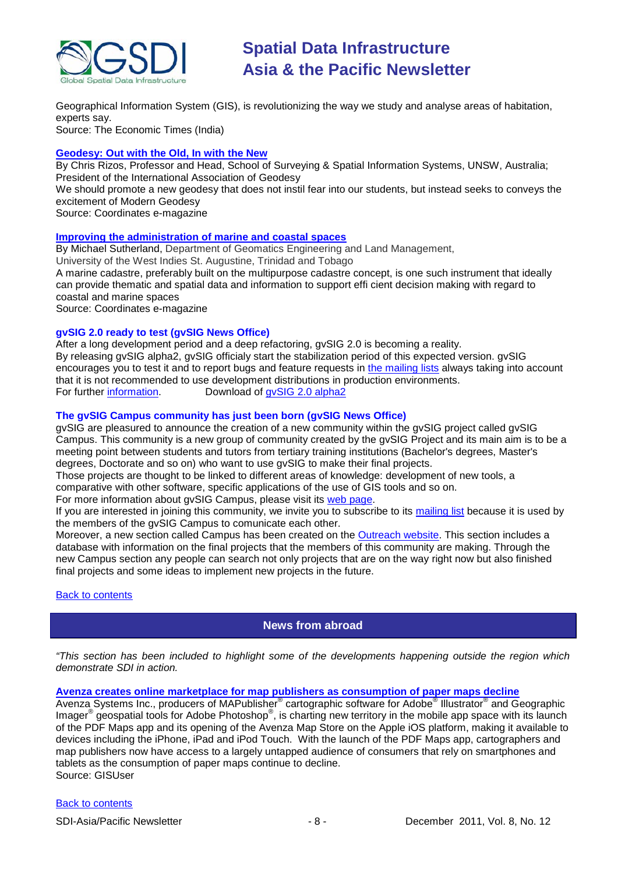

Geographical Information System (GIS), is revolutionizing the way we study and analyse areas of habitation, experts say. Source: The Economic Times (India)

**[Geodesy: Out with the Old, In with the New](http://mycoordinates.org/geodesy-out-with-the-old-in-with-the-new/)**

By Chris Rizos, Professor and Head, School of Surveying & Spatial Information Systems, UNSW, Australia; President of the International Association of Geodesy

We should promote a new geodesy that does not instil fear into our students, but instead seeks to conveys the excitement of Modern Geodesy

Source: Coordinates e-magazine

#### **[Improving the administration of marine and coastal spaces](http://mycoordinates.org/improving-the-administration-of-marine-and-coastal-spaces/)**

By Michael Sutherland, Department of Geomatics Engineering and Land Management,

University of the West Indies St. Augustine, Trinidad and Tobago

A marine cadastre, preferably built on the multipurpose cadastre concept, is one such instrument that ideally can provide thematic and spatial data and information to support effi cient decision making with regard to coastal and marine spaces

Source: Coordinates e-magazine

#### **gvSIG 2.0 ready to test (gvSIG News Office)**

After a long development period and a deep refactoring, gvSIG 2.0 is becoming a reality. By releasing gvSIG alpha2, gvSIG officialy start the stabilization period of this expected version. gvSIG encourages you to test it and to report bugs and feature requests in [the mailing lists](http://www.gvsig.org/web/community/mailing-lists/directory-en) always taking into account that it is not recommended to use development distributions in production environments.<br>For further information. Download of gySIG 2.0 alpha2 Download of [gvSIG 2.0 alpha2](http://www.gvsig.org/web/projects/gvsig-desktop/official/gvsig-2.0/downloads)

#### **The gvSIG Campus community has just been born (gvSIG News Office)**

gvSIG are pleasured to announce the creation of a new community within the gvSIG project called gvSIG Campus. This community is a new group of community created by the gvSIG Project and its main aim is to be a meeting point between students and tutors from tertiary training institutions (Bachelor's degrees, Master's degrees, Doctorate and so on) who want to use gvSIG to make their final projects.

Those projects are thought to be linked to different areas of knowledge: development of new tools, a

comparative with other software, specific applications of the use of GIS tools and so on.

For more information about gvSIG Campus, please visit its [web page.](http://gvsig.org/web/community/comm_groups/comm_gvsig_campus/)

If you are interested in joining this community, we invite you to subscribe to its [mailing list](http://www.freelists.org/list/gvsig-campus) because it is used by the members of the gvSIG Campus to comunicate each other.

Moreover, a new section called Campus has been created on the [Outreach website.](http://outreach.gvsig.org/campus/) This section includes a database with information on the final projects that the members of this community are making. Through the new Campus section any people can search not only projects that are on the way right now but also finished final projects and some ideas to implement new projects in the future.

<span id="page-7-0"></span>**[Back to contents](#page-0-0)** 

### **News from abroad**

*"This section has been included to highlight some of the developments happening outside the region which demonstrate SDI in action.*

**[Avenza creates online marketplace for map publishers as consumption of paper maps decline](http://www.gisuser.com/content/view/24984/2/)**

Avenza Systems Inc., producers of MAPublisher<sup>®</sup> cartographic software for Adobe<sup>®</sup> Illustrator<sup>®</sup> and Geographic Imager<sup>®</sup> geospatial tools for Adobe Photoshop<sup>®</sup>, is charting new territory in the mobile app space with its launch of the PDF Maps app and its opening of the Avenza Map Store on the Apple iOS platform, making it available to devices including the iPhone, iPad and iPod Touch. With the launch of the PDF Maps app, cartographers and map publishers now have access to a largely untapped audience of consumers that rely on smartphones and tablets as the consumption of paper maps continue to decline. Source: GISUser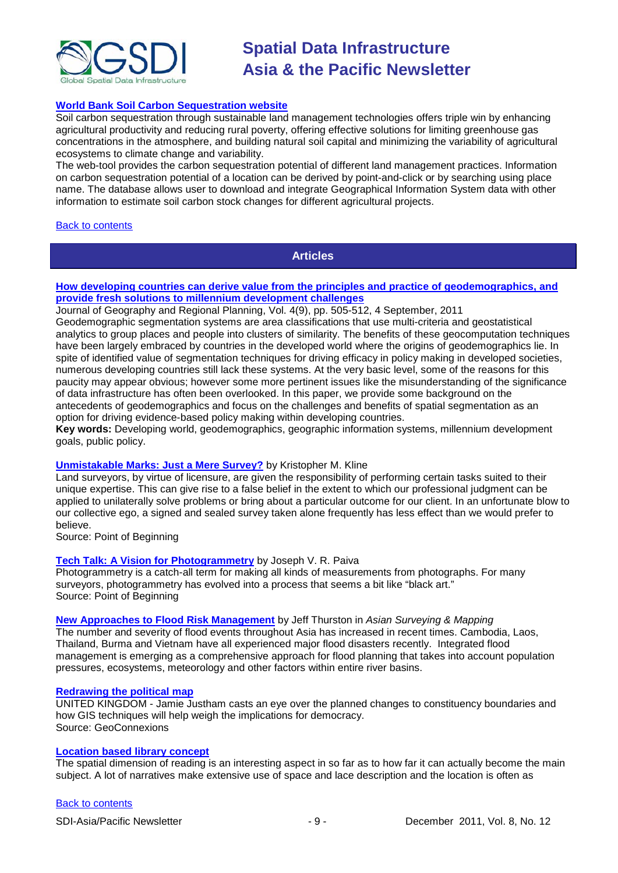

#### **[World Bank Soil Carbon Sequestration website](http://www-esd.worldbank.org/SoilCarbonSequestration/)**

Soil carbon sequestration through sustainable land management technologies offers triple win by enhancing agricultural productivity and reducing rural poverty, offering effective solutions for limiting greenhouse gas concentrations in the atmosphere, and building natural soil capital and minimizing the variability of agricultural ecosystems to climate change and variability.

The web-tool provides the carbon sequestration potential of different land management practices. Information on carbon sequestration potential of a location can be derived by point-and-click or by searching using place name. The database allows user to download and integrate Geographical Information System data with other information to estimate soil carbon stock changes for different agricultural projects.

#### <span id="page-8-0"></span>[Back to contents](#page-0-0)

### **Articles**

#### **[How developing countries can derive value from the principles and practice of geodemographics, and](http://www.academicjournals.org/JGRP/PDF/pdf2011/4th%20Sep/Ojo%20and%20Ezepue.pdf)  [provide fresh solutions to millennium development challenges](http://www.academicjournals.org/JGRP/PDF/pdf2011/4th%20Sep/Ojo%20and%20Ezepue.pdf)**

Journal of Geography and Regional Planning, Vol. 4(9), pp. 505-512, 4 September, 2011 Geodemographic segmentation systems are area classifications that use multi-criteria and geostatistical analytics to group places and people into clusters of similarity. The benefits of these geocomputation techniques have been largely embraced by countries in the developed world where the origins of geodemographics lie. In spite of identified value of segmentation techniques for driving efficacy in policy making in developed societies, numerous developing countries still lack these systems. At the very basic level, some of the reasons for this paucity may appear obvious; however some more pertinent issues like the misunderstanding of the significance of data infrastructure has often been overlooked. In this paper, we provide some background on the antecedents of geodemographics and focus on the challenges and benefits of spatial segmentation as an option for driving evidence-based policy making within developing countries.

**Key words:** Developing world, geodemographics, geographic information systems, millennium development goals, public policy.

#### **[Unmistakable Marks: Just a Mere Survey?](http://www.pobonline.com/Articles/Column/BNP_GUID_9-5-2006_A_10000000000001120276)** by Kristopher M. Kline

Land surveyors, by virtue of licensure, are given the responsibility of performing certain tasks suited to their unique expertise. This can give rise to a false belief in the extent to which our professional judgment can be applied to unilaterally solve problems or bring about a particular outcome for our client. In an unfortunate blow to our collective ego, a signed and sealed survey taken alone frequently has less effect than we would prefer to believe.

Source: Point of Beginning

#### **Tech Talk: A Vision for Photogrammetry** by Joseph V. R. Paiva

Photogrammetry is a catch-all term for making all kinds of measurements from photographs. For many surveyors, photogrammetry has evolved into a process that seems a bit like "black art." Source: Point of Beginning

#### **[New Approaches to Flood Risk Management](http://www.asmmag.com/201111162601/new-approaches-to-flood-risk-management.html)** by Jeff Thurston in *Asian Surveying & Mapping*

The number and severity of flood events throughout Asia has increased in recent times. Cambodia, Laos, Thailand, Burma and Vietnam have all experienced major flood disasters recently. Integrated flood management is emerging as a comprehensive approach for flood planning that takes into account population pressures, ecosystems, meteorology and other factors within entire river basins.

#### **[Redrawing the political map](http://www.geoconnexion.com/uploads/politicalmap_ukv9i6.pdf)**

UNITED KINGDOM - Jamie Justham casts an eye over the planned changes to constituency boundaries and how GIS techniques will help weigh the implications for democracy. Source: GeoConnexions

#### **[Location based library concept](http://urbantick.blogspot.com/2011/10/location-based-library-concept.html)**

The spatial dimension of reading is an interesting aspect in so far as to how far it can actually become the main subject. A lot of narratives make extensive use of space and lace description and the location is often as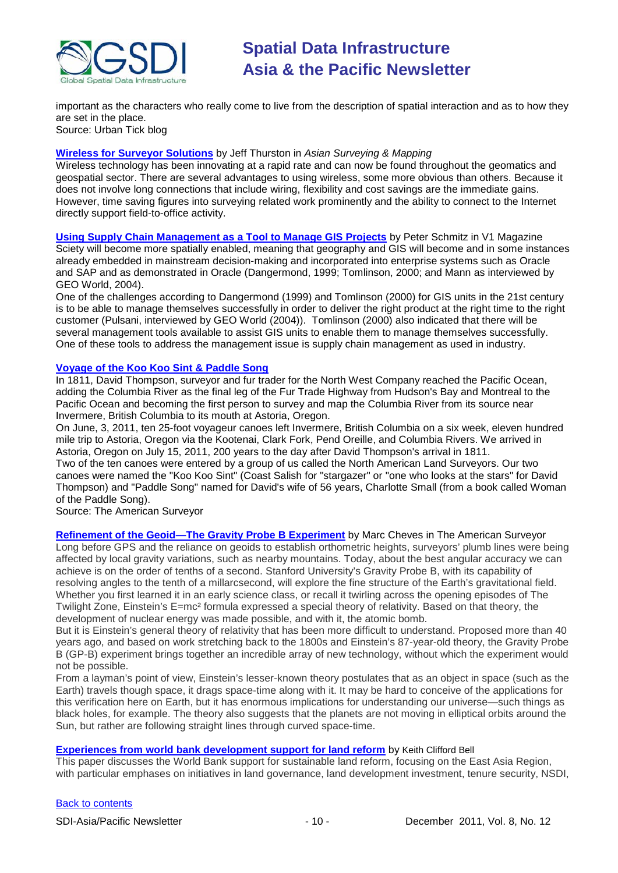

important as the characters who really come to live from the description of spatial interaction and as to how they are set in the place. Source: Urban Tick blog

#### **[Wireless for Surveyor Solutions](http://www.asmmag.com/201111242661/wireless-for-surveyor-solutions.html)** by Jeff Thurston in *Asian Surveying & Mapping*

Wireless technology has been innovating at a rapid rate and can now be found throughout the geomatics and geospatial sector. There are several advantages to using wireless, some more obvious than others. Because it does not involve long connections that include wiring, flexibility and cost savings are the immediate gains. However, time saving figures into surveying related work prominently and the ability to connect to the Internet directly support field-to-office activity.

**[Using Supply Chain Management as a Tool to Manage GIS Projects](http://www.vector1media.com/article/features/24167-using-supply-chain-management-as-a-tool-to-manage-gis-projects-.html)** by Peter Schmitz in V1 Magazine Sciety will become more spatially enabled, meaning that geography and GIS will become and in some instances already embedded in mainstream decision-making and incorporated into enterprise systems such as Oracle and SAP and as demonstrated in Oracle (Dangermond, 1999; Tomlinson, 2000; and Mann as interviewed by GEO World, 2004).

One of the challenges according to Dangermond (1999) and Tomlinson (2000) for GIS units in the 21st century is to be able to manage themselves successfully in order to deliver the right product at the right time to the right customer (Pulsani, interviewed by GEO World (2004)). Tomlinson (2000) also indicated that there will be several management tools available to assist GIS units to enable them to manage themselves successfully. One of these tools to address the management issue is supply chain management as used in industry.

#### **[Voyage of the Koo Koo Sint & Paddle Song](http://www.amerisurv.com/content/view/9361/153/)**

In 1811, David Thompson, surveyor and fur trader for the North West Company reached the Pacific Ocean, adding the Columbia River as the final leg of the Fur Trade Highway from Hudson's Bay and Montreal to the Pacific Ocean and becoming the first person to survey and map the Columbia River from its source near Invermere, British Columbia to its mouth at Astoria, Oregon.

On June, 3, 2011, ten 25-foot voyageur canoes left Invermere, British Columbia on a six week, eleven hundred mile trip to Astoria, Oregon via the Kootenai, Clark Fork, Pend Oreille, and Columbia Rivers. We arrived in Astoria, Oregon on July 15, 2011, 200 years to the day after David Thompson's arrival in 1811. Two of the ten canoes were entered by a group of us called the North American Land Surveyors. Our two canoes were named the "Koo Koo Sint" (Coast Salish for "stargazer" or "one who looks at the stars" for David Thompson) and "Paddle Song" named for David's wife of 56 years, Charlotte Small (from a book called Woman

of the Paddle Song).

Source: The American Surveyor

**[Refinement of the Geoid—The Gravity Probe B Experiment](http://www.amerisurv.com/content/view/8697/153/)** by Marc Cheves in The American Surveyor Long before GPS and the reliance on geoids to establish orthometric heights, surveyors' plumb lines were being affected by local gravity variations, such as nearby mountains. Today, about the best angular accuracy we can achieve is on the order of tenths of a second. Stanford University's Gravity Probe B, with its capability of resolving angles to the tenth of a millarcsecond, will explore the fine structure of the Earth's gravitational field. Whether you first learned it in an early science class, or recall it twirling across the opening episodes of The Twilight Zone, Einstein's E=mc² formula expressed a special theory of relativity. Based on that theory, the development of nuclear energy was made possible, and with it, the atomic bomb.

But it is Einstein's general theory of relativity that has been more difficult to understand. Proposed more than 40 years ago, and based on work stretching back to the 1800s and Einstein's 87-year-old theory, the Gravity Probe B (GP-B) experiment brings together an incredible array of new technology, without which the experiment would not be possible.

From a layman's point of view, Einstein's lesser-known theory postulates that as an object in space (such as the Earth) travels though space, it drags space-time along with it. It may be hard to conceive of the applications for this verification here on Earth, but it has enormous implications for understanding our universe—such things as black holes, for example. The theory also suggests that the planets are not moving in elliptical orbits around the Sun, but rather are following straight lines through curved space-time.

#### **[Experiences from world bank development support for land reform](http://mycoordinates.org/experiences-from-world-bank-development-support-for-land-reform-2/)** by Keith Clifford Bell

This paper discusses the World Bank support for sustainable land reform, focusing on the East Asia Region, with particular emphases on initiatives in land governance, land development investment, tenure security, NSDI,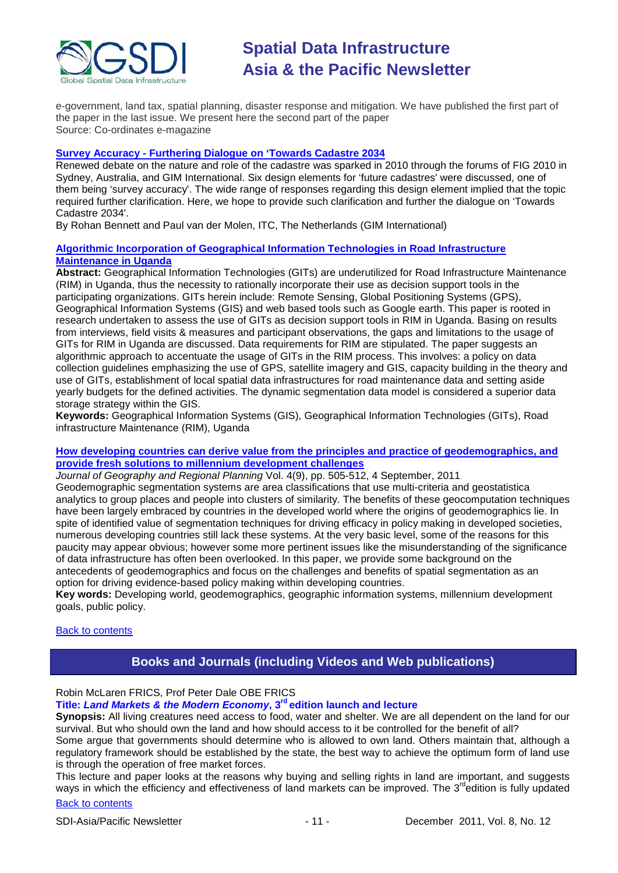

e-government, land tax, spatial planning, disaster response and mitigation. We have published the first part of the paper in the last issue. We present here the second part of the paper Source: Co-ordinates e-magazine

#### **Survey Accuracy - [Furthering Dialogue on 'Towards Cadastre 2034](http://www.gim-international.com/issues/articles/id1788-Survey_Accuracy.html)**

Renewed debate on the nature and role of the cadastre was sparked in 2010 through the forums of FIG 2010 in Sydney, Australia, and GIM International. Six design elements for 'future cadastres' were discussed, one of them being 'survey accuracy'. The wide range of responses regarding this design element implied that the topic required further clarification. Here, we hope to provide such clarification and further the dialogue on 'Towards Cadastre 2034'.

By Rohan Bennett and Paul van der Molen, ITC, The Netherlands (GIM International)

#### **[Algorithmic Incorporation of Geographical Information Technologies in Road Infrastructure](http://mak.ac.ug/documents/Makfiles/aet2011/Kayondo.pdf)  [Maintenance in Uganda](http://mak.ac.ug/documents/Makfiles/aet2011/Kayondo.pdf)**

**Abstract:** Geographical Information Technologies (GITs) are underutilized for Road Infrastructure Maintenance (RIM) in Uganda, thus the necessity to rationally incorporate their use as decision support tools in the participating organizations. GITs herein include: Remote Sensing, Global Positioning Systems (GPS), Geographical Information Systems (GIS) and web based tools such as Google earth. This paper is rooted in research undertaken to assess the use of GITs as decision support tools in RIM in Uganda. Basing on results from interviews, field visits & measures and participant observations, the gaps and limitations to the usage of GITs for RIM in Uganda are discussed. Data requirements for RIM are stipulated. The paper suggests an algorithmic approach to accentuate the usage of GITs in the RIM process. This involves: a policy on data collection guidelines emphasizing the use of GPS, satellite imagery and GIS, capacity building in the theory and use of GITs, establishment of local spatial data infrastructures for road maintenance data and setting aside yearly budgets for the defined activities. The dynamic segmentation data model is considered a superior data storage strategy within the GIS.

**Keywords:** Geographical Information Systems (GIS), Geographical Information Technologies (GITs), Road infrastructure Maintenance (RIM), Uganda

#### **[How developing countries can derive value from the principles and practice of geodemographics, and](http://www.academicjournals.org/JGRP/PDF/pdf2011/4th%20Sep/Ojo%20and%20Ezepue.pdf)  [provide fresh solutions to millennium development challenges](http://www.academicjournals.org/JGRP/PDF/pdf2011/4th%20Sep/Ojo%20and%20Ezepue.pdf)**

*Journal of Geography and Regional Planning* Vol. 4(9), pp. 505-512, 4 September, 2011 Geodemographic segmentation systems are area classifications that use multi-criteria and geostatistica analytics to group places and people into clusters of similarity. The benefits of these geocomputation techniques have been largely embraced by countries in the developed world where the origins of geodemographics lie. In spite of identified value of segmentation techniques for driving efficacy in policy making in developed societies, numerous developing countries still lack these systems. At the very basic level, some of the reasons for this paucity may appear obvious; however some more pertinent issues like the misunderstanding of the significance of data infrastructure has often been overlooked. In this paper, we provide some background on the antecedents of geodemographics and focus on the challenges and benefits of spatial segmentation as an option for driving evidence-based policy making within developing countries.

**Key words:** Developing world, geodemographics, geographic information systems, millennium development goals, public policy.

#### <span id="page-10-0"></span>[Back to contents](#page-0-0)

## **Books and Journals (including Videos and Web publications)**

# Robin McLaren FRICS, Prof Peter Dale OBE FRICS

**Title:** *Land Markets & the Modern Economy***, 3rd edition launch and lecture**

**Synopsis:** All living creatures need access to food, water and shelter. We are all dependent on the land for our survival. But who should own the land and how should access to it be controlled for the benefit of all?

Some argue that governments should determine who is allowed to own land. Others maintain that, although a regulatory framework should be established by the state, the best way to achieve the optimum form of land use is through the operation of free market forces.

[Back to contents](#page-0-0) This lecture and paper looks at the reasons why buying and selling rights in land are important, and suggests ways in which the efficiency and effectiveness of land markets can be improved. The 3<sup>rd</sup>edition is fully updated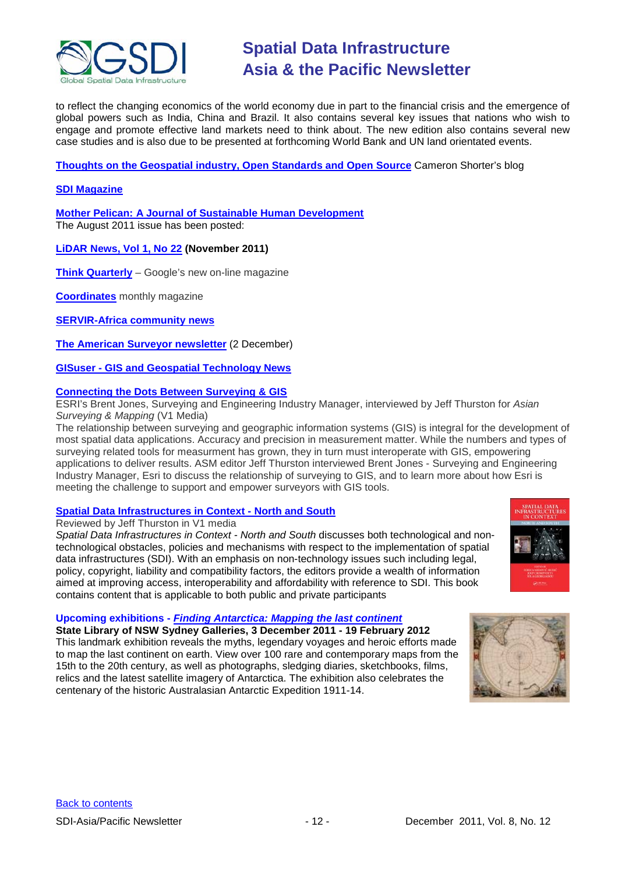

to reflect the changing economics of the world economy due in part to the financial crisis and the emergence of global powers such as India, China and Brazil. It also contains several key issues that nations who wish to engage and promote effective land markets need to think about. The new edition also contains several new case studies and is also due to be presented at forthcoming World Bank and UN land orientated events.

**[Thoughts on the Geospatial industry, Open Standards and Open Source](http://cameronshorter.blogspot.com/2011/06/memoirs-of-cat-herder-coordinating.html)** Cameron Shorter's blog

### **[SDI Magazine](http://www.sdimag.com/)**

**[Mother Pelican: A Journal of Sustainable Human Development](http://www.pelicanweb.org/solisustv07n08page1.html)** The August 2011 issue has been posted:

**[LiDAR News, Vol 1, No 22](http://www.lidarnews.com/newsletter/Vol1No22.htm) (November 2011)**

**[Think Quarterly](http://thinkquarterly.co.uk/#aboutthebook)** – Google's new on-line magazine

**[Coordinates](http://mycoordinates.org/pdf/june11.pdf)** monthly magazine

**[SERVIR-Africa community news](http://www.servirglobal.net/africa/en/News/CommunityNews.aspx)**

**[The American Surveyor newsletter](http://www.amerisurv.com/component/option,com_frontpage/Itemid,1/)** (2 December)

**GISuser - [GIS and Geospatial Technology News](http://www.gisuser.com/)**

#### **[Connecting the Dots Between Surveying & GIS](http://www.vector1media.com/dialog/interviews/24152-interview-connecting-the-dots-between-surveying-a-gis.html)**

ESRI's Brent Jones, Surveying and Engineering Industry Manager, interviewed by Jeff Thurston for *Asian Surveying & Mapping* (V1 Media)

The relationship between surveying and geographic information systems (GIS) is integral for the development of most spatial data applications. Accuracy and precision in measurement matter. While the numbers and types of surveying related tools for measurment has grown, they in turn must interoperate with GIS, empowering applications to deliver results. ASM editor Jeff Thurston interviewed Brent Jones - Surveying and Engineering Industry Manager, Esri to discuss the relationship of surveying to GIS, and to learn more about how Esri is meeting the challenge to support and empower surveyors with GIS tools.

### **[Spatial Data Infrastructures in Context -](http://www.vector1media.com/article/reviews/23665-spatial-data-infrastructures-in-context-north-and-south.html) North and South**

Reviewed by Jeff Thurston in V1 media

*Spatial Data Infrastructures in Context - North and South* discusses both technological and nontechnological obstacles, policies and mechanisms with respect to the implementation of spatial data infrastructures (SDI). With an emphasis on non-technology issues such including legal, policy, copyright, liability and compatibility factors, the editors provide a wealth of information aimed at improving access, interoperability and affordability with reference to SDI. This book contains content that is applicable to both public and private participants



### **Upcoming exhibitions -** *[Finding Antarctica: Mapping the last continent](http://email.synergymail.com.au/t/r/l/ililhyy/jddhw/a/)*

**State Library of NSW Sydney Galleries, 3 December 2011 - 19 February 2012** This landmark exhibition reveals the myths, legendary voyages and heroic efforts made to map the last continent on earth. View over 100 rare and contemporary maps from the 15th to the 20th century, as well as photographs, sledging diaries, sketchbooks, films, relics and the latest satellite imagery of Antarctica. The exhibition also celebrates the centenary of the historic Australasian Antarctic Expedition 1911-14.

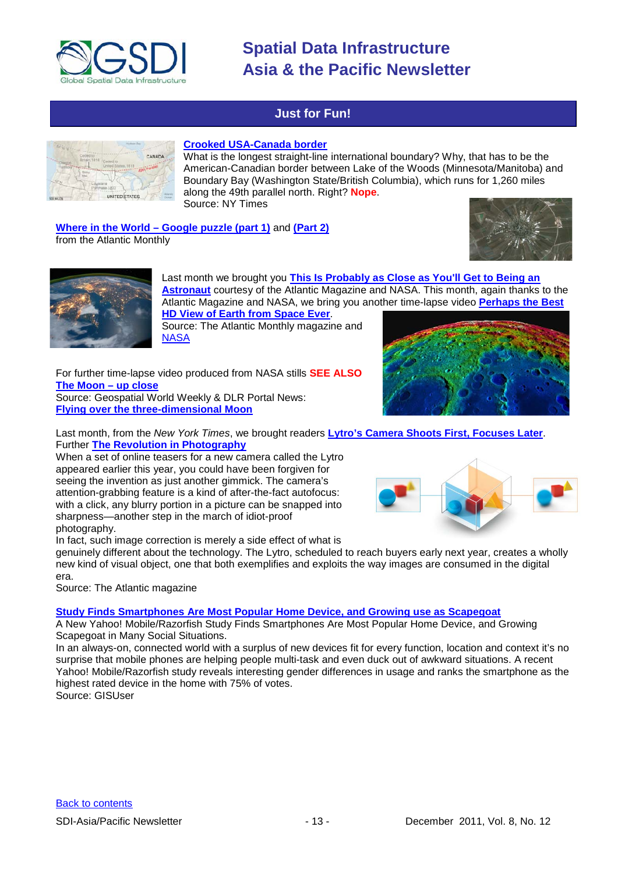

# **Just for Fun!**

<span id="page-12-0"></span>

#### **[Crooked USA-Canada border](http://opinionator.blogs.nytimes.com/2011/11/28/a-not-so-straight-story/?scp=1&sq=canada%20border&st=cse)**

What is the longest straight-line international boundary? Why, that has to be the American-Canadian border between Lake of the Woods (Minnesota/Manitoba) and Boundary Bay (Washington State/British Columbia), which runs for 1,260 miles along the 49th parallel north. Right? **Nope**. Source: NY Times

**Where in the World – [Google puzzle \(part 1\)](http://www.theatlantic.com/infocus/2011/08/where-in-the-world-a-google-earth-puzzle/100120/)** and **[\(Part 2\)](http://www.theatlantic.com/infocus/2011/11/where-in-the-world-part-2-a-google-earth-puzzle/100197/)** from the Atlantic Monthly





Last month we brought you **[This Is Probably as Close as You'll Get to Being an](http://www.theatlantic.com/video/archive/2011/10/this-is-probably-as-close-as-youll-get-to-being-an-astronaut/247483/)  [Astronaut](http://www.theatlantic.com/video/archive/2011/10/this-is-probably-as-close-as-youll-get-to-being-an-astronaut/247483/)** courtesy of the Atlantic Magazine and NASA. This month, again thanks to the Atlantic Magazine and NASA, we bring you another time-lapse video **[Perhaps the Best](http://www.theatlantic.com/technology/archive/2011/11/video-perhaps-the-best-hd-view-of-earth-from-space-ever/248395/)** 

**[HD View of Earth from Space Ever](http://www.theatlantic.com/technology/archive/2011/11/video-perhaps-the-best-hd-view-of-earth-from-space-ever/248395/)**. Source: The Atlantic Monthly magazine and

For further time-lapse video produced from NASA stills **SEE ALSO [The Moon –](http://geospatialworld.net/index.php?option=com_imageoftheweek&view=managetemplate&id=62&Itemid=139&year=2011) up close**

Source: Geospatial World Weekly & DLR Portal News: **[Flying over the three-dimensional Moon](http://www.dlr.de/dlr/en/desktopdefault.aspx/tabid-10081/151_read-2065/)**

**[NASA](http://eol.jsc.nasa.gov/Videos/CrewEarthObservationsVideos/)** 



Last month, from the *New York Times*, we brought readers **[Lytro's Camera Shoots First, Focuses Later](http://gadgetwise.blogs.nytimes.com/2011/10/19/lytros-camera-shoots-first-focuses-later/)**. Further **[The Revolution in Photography](http://www.theatlantic.com/magazine/archive/2011/12/the-revolution-in-photography/8733/)**

When a set of online teasers for a new camera called the Lytro appeared earlier this year, you could have been forgiven for seeing the invention as just another gimmick. The camera's attention-grabbing feature is a kind of after-the-fact autofocus: with a click, any blurry portion in a picture can be snapped into sharpness—another step in the march of idiot-proof photography.

In fact, such image correction is merely a side effect of what is

genuinely different about the technology. The Lytro, scheduled to reach buyers early next year, creates a wholly new kind of visual object, one that both exemplifies and exploits the way images are consumed in the digital era.

Source: The Atlantic magazine

**[Study Finds Smartphones Are Most Popular Home Device, and Growing use as Scapegoat](http://www.gisuser.com/content/view/25103/28/)**

A New Yahoo! Mobile/Razorfish Study Finds Smartphones Are Most Popular Home Device, and Growing Scapegoat in Many Social Situations.

In an always-on, connected world with a surplus of new devices fit for every function, location and context it's no surprise that mobile phones are helping people multi-task and even duck out of awkward situations. A recent Yahoo! Mobile/Razorfish study reveals interesting gender differences in usage and ranks the smartphone as the highest rated device in the home with 75% of votes.

Source: GISUser

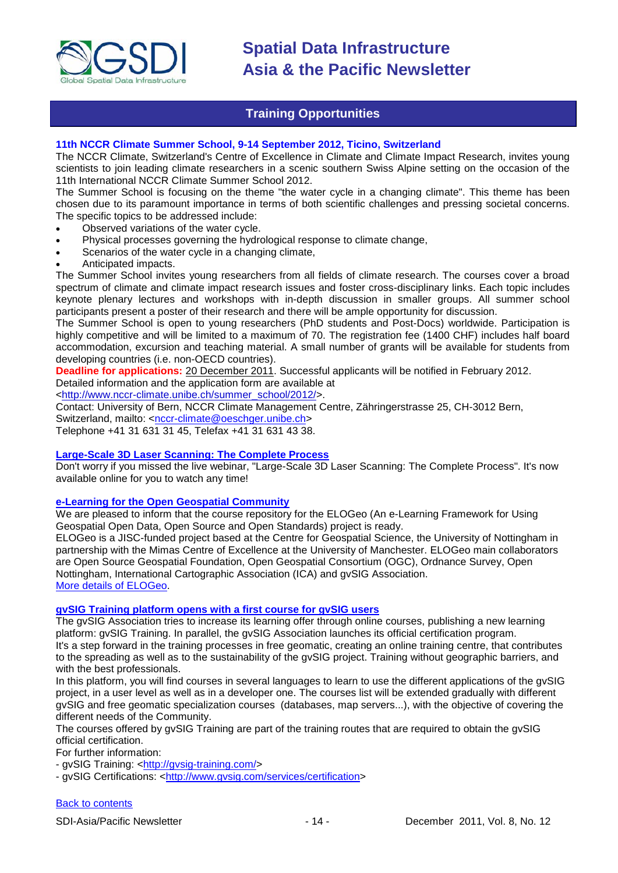

## **Training Opportunities**

#### <span id="page-13-0"></span>**11th NCCR Climate Summer School, 9-14 September 2012, Ticino, Switzerland**

The NCCR Climate, Switzerland's Centre of Excellence in Climate and Climate Impact Research, invites young scientists to join leading climate researchers in a scenic southern Swiss Alpine setting on the occasion of the 11th International NCCR Climate Summer School 2012.

The Summer School is focusing on the theme "the water cycle in a changing climate". This theme has been chosen due to its paramount importance in terms of both scientific challenges and pressing societal concerns. The specific topics to be addressed include:

- Observed variations of the water cycle.
- Physical processes governing the hydrological response to climate change,
- Scenarios of the water cycle in a changing climate,
- Anticipated impacts.

The Summer School invites young researchers from all fields of climate research. The courses cover a broad spectrum of climate and climate impact research issues and foster cross-disciplinary links. Each topic includes keynote plenary lectures and workshops with in-depth discussion in smaller groups. All summer school participants present a poster of their research and there will be ample opportunity for discussion.

The Summer School is open to young researchers (PhD students and Post-Docs) worldwide. Participation is highly competitive and will be limited to a maximum of 70. The registration fee (1400 CHF) includes half board accommodation, excursion and teaching material. A small number of grants will be available for students from developing countries (i.e. non-OECD countries).

**Deadline for applications:** 20 December 2011. Successful applicants will be notified in February 2012.

Detailed information and the application form are available at

[<http://www.nccr-climate.unibe.ch/summer\\_school/2012/>](http://www.nccr-climate.unibe.ch/summer_school/2012/).

Contact: University of Bern, NCCR Climate Management Centre, Zähringerstrasse 25, CH-3012 Bern,

Switzerland, mailto: [<nccr-climate@oeschger.unibe.ch>](mailto:nccr-climate@oeschger.unibe.ch)

Telephone +41 31 631 31 45, Telefax +41 31 631 43 38.

#### **[Large-Scale 3D Laser Scanning: The Complete Process](http://www.faro.com/site/resources/details/1373?CampaignId=70170000000bbwr)**

Don't worry if you missed the live webinar, "Large-Scale 3D Laser Scanning: The Complete Process". It's now available online for you to watch any time!

#### **[e-Learning for the Open Geospatial Community](http://elogeo.nottingham.ac.uk/xmlui)**

We are pleased to inform that the course repository for the ELOGeo (An e-Learning Framework for Using Geospatial Open Data, Open Source and Open Standards) project is ready.

ELOGeo is a JISC-funded project based at the Centre for Geospatial Science, the University of Nottingham in partnership with the Mimas Centre of Excellence at the University of Manchester. ELOGeo main collaborators are Open Source Geospatial Foundation, Open Geospatial Consortium (OGC), Ordnance Survey, Open Nottingham, International Cartographic Association (ICA) and gvSIG Association. [More details of ELOGeo.](http://elogeo.nottingham.ac.uk/index.html)

**gvSIG Training platform opens with a first course for gvSIG users**

The gvSIG Association tries to increase its learning offer through online courses, publishing a new learning platform: gvSIG Training. In parallel, the gvSIG Association launches its official certification program. It's a step forward in the training processes in free geomatic, creating an online training centre, that contributes to the spreading as well as to the sustainability of the gvSIG project. Training without geographic barriers, and with the best professionals.

In this platform, you will find courses in several languages to learn to use the different applications of the gvSIG project, in a user level as well as in a developer one. The courses list will be extended gradually with different gvSIG and free geomatic specialization courses (databases, map servers...), with the objective of covering the different needs of the Community.

The courses offered by gvSIG Training are part of the training routes that are required to obtain the gvSIG official certification.

For further information:

- gvSIG Training: [<http://gvsig-training.com/>](http://gvsig-training.com/)

- gvSIG Certifications: [<http://www.gvsig.com/services/certification>](http://www.gvsig.com/services/certification)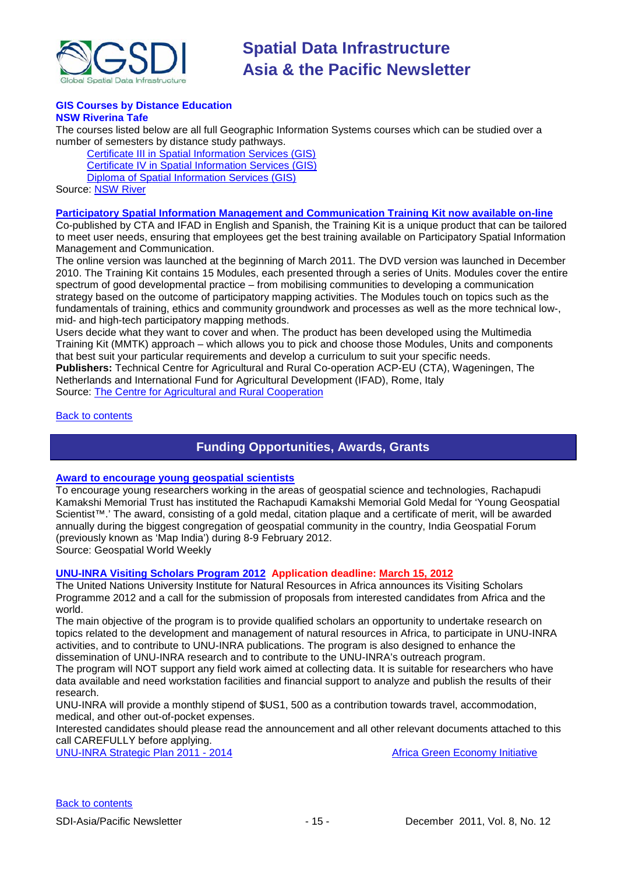

#### **GIS Courses by Distance Education NSW Riverina Tafe**

The courses listed below are all full Geographic Information Systems courses which can be studied over a number of semesters by distance study pathways.

[Certificate III in Spatial Information Services \(GIS\)](http://www.rit.tafensw.edu.au/nec/nrme/giscourses#Cert III in Spatial Information Services (CPP30109)) [Certificate IV in Spatial Information Services \(GIS\)](http://www.rit.tafensw.edu.au/nec/nrme/giscourses#Cert IV in Spatial Information Services (CPP40209)) [Diploma of Spatial Information Services \(GIS\)](http://www.rit.tafensw.edu.au/nec/nrme/giscourses#Diploma of Spatial Information Services (CPP50207)) Sourc[e: NSW River](http://www.rit.tafensw.edu.au/nec/nrme/giscourses)

#### **[Participatory Spatial Information Management and Communication Training Kit now available on-line](http://www.cta.int/en/About-us/CTA-news/Participatory-Spatial-Information-Management-and-Communication-Training-Kit-now-available-on-line)**

Co-published by CTA and IFAD in English and Spanish, the Training Kit is a unique product that can be tailored to meet user needs, ensuring that employees get the best training available on Participatory Spatial Information Management and Communication.

The [online version](http://pgis-tk.cta.int/) was launched at the beginning of March 2011. The DVD version was launched in December 2010. The Training Kit contains 15 Modules, each presented through a series of Units. Modules cover the entire spectrum of good developmental practice – from mobilising communities to developing a communication strategy based on the outcome of participatory mapping activities. The Modules touch on topics such as the fundamentals of training, ethics and community groundwork and processes as well as the more technical low-, mid- and high-tech participatory mapping methods.

Users decide what they want to cover and when. The product has been developed using the Multimedia Training Kit (MMTK) approach – which allows you to pick and choose those Modules, Units and components that best suit your particular requirements and develop a curriculum to suit your specific needs. **Publishers:** Technical Centre for Agricultural and Rural Co-operation ACP-EU (CTA), Wageningen, The Netherlands and International Fund for Agricultural Development (IFAD), Rome, Italy

Source: [The Centre for Agricultural and Rural Cooperation](http://www.cta.int/en/About-us/Who-we-are)

#### <span id="page-14-0"></span>[Back to contents](#page-0-0)

## **Funding Opportunities, Awards, Grants**

#### **[Award to encourage young geospatial scientists](http://geospatialworld.net/index.php?option=com_content&view=article&id=23094%3Aaward-to-encourage-young-geospatial-scientists-&catid=81%3Amiscellaneous-award&Itemid=1)**

To encourage young researchers working in the areas of geospatial science and technologies, Rachapudi Kamakshi Memorial Trust has instituted the Rachapudi Kamakshi Memorial Gold Medal for 'Young Geospatial Scientist™.' The award, consisting of a gold medal, citation plaque and a certificate of merit, will be awarded annually during the biggest congregation of geospatial community in the country, India Geospatial Forum (previously known as 'Map India') during 8-9 February 2012.

Source: Geospatial World Weekly

### **[UNU-INRA Visiting Scholars Program 2012](http://inra.unu.edu/d1/unu-inra%20visiting%20scholars%20programme%20%202012.pdf) Application deadline: March 15, 2012**

The United Nations University Institute for Natural Resources in Africa announces its Visiting Scholars Programme 2012 and a call for the submission of proposals from interested candidates from Africa and the world.

The main objective of the program is to provide qualified scholars an opportunity to undertake research on topics related to the development and management of natural resources in Africa, to participate in UNU-INRA activities, and to contribute to UNU-INRA publications. The program is also designed to enhance the dissemination of UNU-INRA research and to contribute to the UNU-INRA's outreach program.

The program will NOT support any field work aimed at collecting data. It is suitable for researchers who have data available and need workstation facilities and financial support to analyze and publish the results of their research.

UNU-INRA will provide a monthly stipend of \$US1, 500 as a contribution towards travel, accommodation, medical, and other out-of-pocket expenses.

Interested candidates should please read the announcement and all other relevant documents attached to this call CAREFULLY before applying.

[UNU-INRA Strategic Plan 2011 -](http://inra.unu.edu/d1/strat%2020110911.pdf) 2014 **[Africa Green Economy Initiative](http://inra.unu.edu/d1/2011-07-26%20african%20green%20economy%20intiative.pdf)** Africa Green Economy Initiative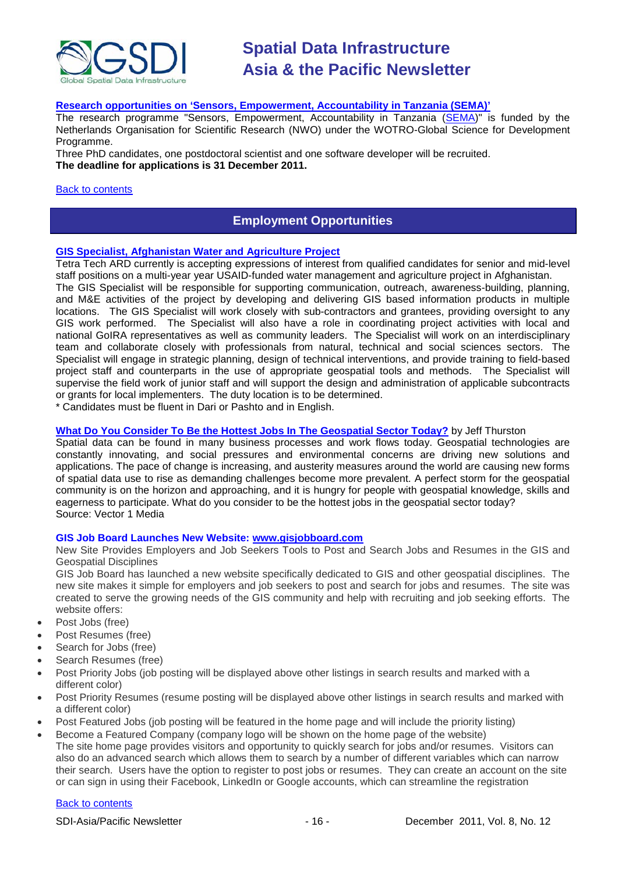

### **[Research opportunities on 'Sensors, Empowerment, Accountability in Tanzania \(SEMA\)'](http://www.itc.nl/Pub/research_programme/Research_opportunities.html)**

The research programme "Sensors, Empowerment, Accountability in Tanzania (SEMA)" is funded by the Netherlands Organisation for Scientific Research (NWO) under the WOTRO-Global Science for Development Programme.

Three PhD candidates, one postdoctoral scientist and one software developer will be recruited. **The deadline for applications is 31 December 2011.**

#### <span id="page-15-0"></span>[Back to contents](#page-0-0)

### **Employment Opportunities**

#### **[GIS Specialist, Afghanistan Water and Agriculture Project](https://careers.ardinc.com/ARDCareers/App/InternationalPostingDetail.aspx?PostingId=283)**

Tetra Tech ARD currently is accepting expressions of interest from qualified candidates for senior and mid-level staff positions on a multi-year year USAID-funded water management and agriculture project in Afghanistan.

The GIS Specialist will be responsible for supporting communication, outreach, awareness-building, planning, and M&E activities of the project by developing and delivering GIS based information products in multiple locations. The GIS Specialist will work closely with sub-contractors and grantees, providing oversight to any GIS work performed. The Specialist will also have a role in coordinating project activities with local and national GoIRA representatives as well as community leaders. The Specialist will work on an interdisciplinary team and collaborate closely with professionals from natural, technical and social sciences sectors. The Specialist will engage in strategic planning, design of technical interventions, and provide training to field-based project staff and counterparts in the use of appropriate geospatial tools and methods. The Specialist will supervise the field work of junior staff and will support the design and administration of applicable subcontracts or grants for local implementers. The duty location is to be determined.

\* Candidates must be fluent in Dari or Pashto and in English.

#### **[What Do You Consider To Be the Hottest Jobs In The Geospatial Sector Today?](http://vector1media.com/dialog/perspectives/24114-what-do-you-consider-to-be-the-hottest-jobs-in-the-geospatial-sector-today.html)** by Jeff Thurston

Spatial data can be found in many business processes and work flows today. Geospatial technologies are constantly innovating, and social pressures and environmental concerns are driving new solutions and applications. The pace of change is increasing, and austerity measures around the world are causing new forms of spatial data use to rise as demanding challenges become more prevalent. A perfect storm for the geospatial community is on the horizon and approaching, and it is hungry for people with geospatial knowledge, skills and eagerness to participate. What do you consider to be the hottest jobs in the geospatial sector today? Source: Vector 1 Media

#### **GIS Job Board Launches New Website: [www.gisjobboard.com](http://www.gisjobboard.com/)**

New Site Provides Employers and Job Seekers Tools to Post and Search Jobs and Resumes in the GIS and Geospatial Disciplines

GIS Job Board has launched a new website specifically dedicated to GIS and other geospatial disciplines. The new site makes it simple for employers and job seekers to post and search for jobs and resumes. The site was created to serve the growing needs of the GIS community and help with recruiting and job seeking efforts. The website offers:

- Post Jobs (free)
- Post Resumes (free)
- Search for Jobs (free)
- Search Resumes (free)
- Post Priority Jobs (job posting will be displayed above other listings in search results and marked with a different color)
- Post Priority Resumes (resume posting will be displayed above other listings in search results and marked with a different color)
- Post Featured Jobs (job posting will be featured in the home page and will include the priority listing)
- Become a Featured Company (company logo will be shown on the home page of the website) The site home page provides visitors and opportunity to quickly search for jobs and/or resumes. Visitors can also do an advanced search which allows them to search by a number of different variables which can narrow their search. Users have the option to register to post jobs or resumes. They can create an account on the site or can sign in using their Facebook, LinkedIn or Google accounts, which can streamline the registration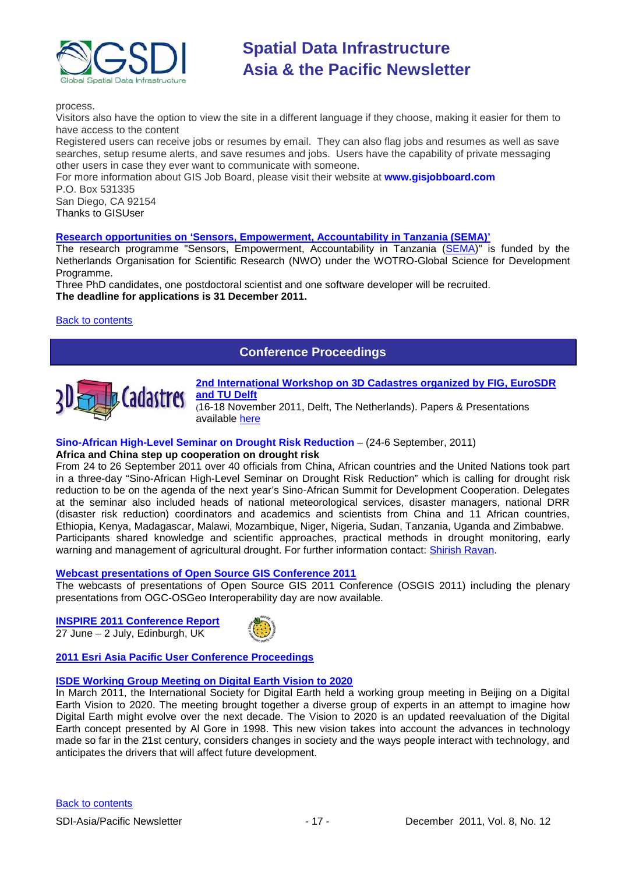

process.

Visitors also have the option to view the site in a different language if they choose, making it easier for them to have access to the content

Registered users can receive jobs or resumes by email. They can also flag jobs and resumes as well as save searches, setup resume alerts, and save resumes and jobs. Users have the capability of private messaging other users in case they ever want to communicate with someone.

For more information about GIS Job Board, please visit their website at **[www.gisjobboard.com](http://www.gisjobboard.com/)** P.O. Box 531335

San Diego, CA 92154

Thanks to GISUser

#### **[Research opportunities on 'Sensors, Empowerment, Accountability in Tanzania \(SEMA\)'](http://www.itc.nl/Pub/research_programme/Research_opportunities.html)**

The research programme "Sensors, Empowerment, Accountability in Tanzania (SEMA)" is funded by the Netherlands Organisation for Scientific Research (NWO) under the WOTRO-Global Science for Development Programme.

Three PhD candidates, one postdoctoral scientist and one software developer will be recruited. **The deadline for applications is 31 December 2011.**

#### <span id="page-16-0"></span>**[Back to contents](#page-0-0)**

## **Conference Proceedings**



**[2nd International Workshop on 3D Cadastres organized by FIG, EuroSDR](http://www.3dcadastres2011.nl/)  [and TU Delft](http://www.3dcadastres2011.nl/)** 

(16-18 November 2011, Delft, The Netherlands). Papers & Presentations available [here](http://3dcadastres2011.nl/programme/)

#### **Sino-African High-Level Seminar on Drought Risk Reduction** – (24-6 September, 2011)

#### **Africa and China step up cooperation on drought risk**

From 24 to 26 September 2011 over 40 officials from China, African countries and the United Nations took part in a three-day "Sino-African High-Level Seminar on Drought Risk Reduction" which is calling for drought risk reduction to be on the agenda of the next year's Sino-African Summit for Development Cooperation. Delegates at the seminar also included heads of national meteorological services, disaster managers, national DRR (disaster risk reduction) coordinators and academics and scientists from China and 11 African countries, Ethiopia, Kenya, Madagascar, Malawi, Mozambique, Niger, Nigeria, Sudan, Tanzania, Uganda and Zimbabwe. Participants shared knowledge and scientific approaches, practical methods in drought monitoring, early warning and management of agricultural drought. For further information contact: [Shirish Ravan.](mailto:shirish.ravan@unoosa.org)

#### **[Webcast presentations of Open Source GIS Conference 2011](http://cgs.nottingham.ac.uk/~osgis11/os_call_info.html)**

The webcasts of presentations of Open Source GIS 2011 Conference (OSGIS 2011) including the plenary presentations from OGC-OSGeo Interoperability day are now available.

**[INSPIRE 2011 Conference Report](http://www.sdimag.com/20110708150/events/event-coverage/inspire-2011-conference-report.html)** 27 June – 2 July, Edinburgh, UK



#### **[2011 Esri Asia Pacific User Conference Proceedings](http://www.geodata.com.ph/index.php?option=com_content&view=article&id=226:2011-apuc-proceedings&catid=45:new-a-events)**

#### **[ISDE Working Group Meeting on Digital Earth Vision to 2020](http://www.digitalearth-isde.org/news/Digital%20Earth%20Vision%20to%202020.html)**

In March 2011, the International Society for Digital Earth held a working group meeting in Beijing on a Digital Earth Vision to 2020. The meeting brought together a diverse group of experts in an attempt to imagine how Digital Earth might evolve over the next decade. The Vision to 2020 is an updated reevaluation of the Digital Earth concept presented by Al Gore in 1998. This new vision takes into account the advances in technology made so far in the 21st century, considers changes in society and the ways people interact with technology, and anticipates the drivers that will affect future development.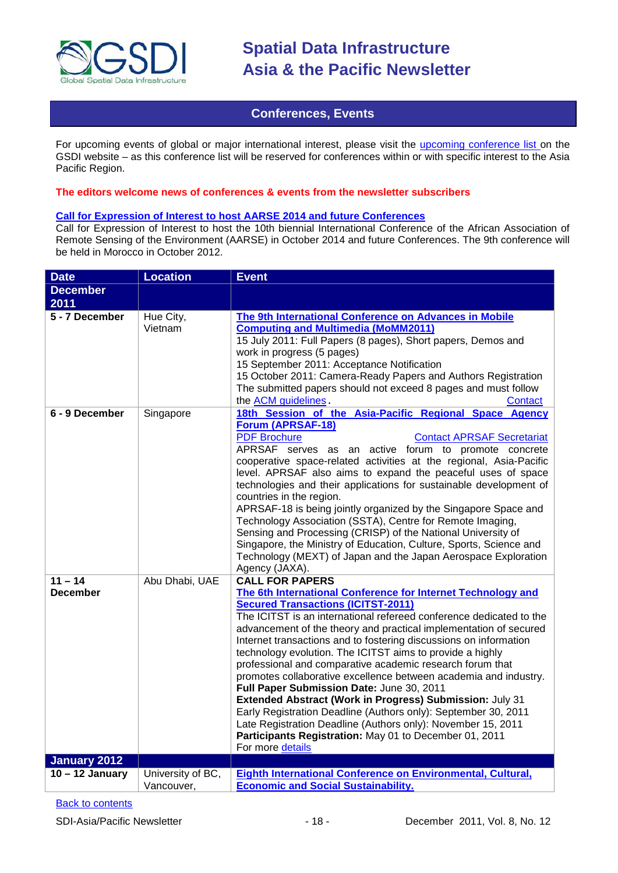

### **Conferences, Events**

<span id="page-17-0"></span>For upcoming events of global or major international interest, please visit the [upcoming conference list o](http://gsdi.org/events/upcnf.asp)n the GSDI website – as this conference list will be reserved for conferences within or with specific interest to the Asia Pacific Region.

#### **The editors welcome news of conferences & events from the newsletter subscribers**

#### **[Call for Expression of Interest to host AARSE 2014 and future Conferences](http://lists.gsdi.org/pipermail/sdi-africa/2010-November/001135.html)**

Call for Expression of Interest to host the 10th biennial International Conference of the African Association of Remote Sensing of the Environment (AARSE) in October 2014 and future Conferences. The 9th conference will be held in Morocco in October 2012.

| <b>Date</b>                  | <b>Location</b>                 | <b>Event</b>                                                                                                                                                                                                                                                                                                                                                                                                                                                                                                                                                                                                                                                                                                                                                                                                                                                                |
|------------------------------|---------------------------------|-----------------------------------------------------------------------------------------------------------------------------------------------------------------------------------------------------------------------------------------------------------------------------------------------------------------------------------------------------------------------------------------------------------------------------------------------------------------------------------------------------------------------------------------------------------------------------------------------------------------------------------------------------------------------------------------------------------------------------------------------------------------------------------------------------------------------------------------------------------------------------|
| <b>December</b>              |                                 |                                                                                                                                                                                                                                                                                                                                                                                                                                                                                                                                                                                                                                                                                                                                                                                                                                                                             |
| 2011                         |                                 |                                                                                                                                                                                                                                                                                                                                                                                                                                                                                                                                                                                                                                                                                                                                                                                                                                                                             |
| 5 - 7 December               | Hue City,<br>Vietnam            | The 9th International Conference on Advances in Mobile<br><b>Computing and Multimedia (MoMM2011)</b><br>15 July 2011: Full Papers (8 pages), Short papers, Demos and<br>work in progress (5 pages)<br>15 September 2011: Acceptance Notification<br>15 October 2011: Camera-Ready Papers and Authors Registration<br>The submitted papers should not exceed 8 pages and must follow<br>the ACM guidelines.<br>Contact                                                                                                                                                                                                                                                                                                                                                                                                                                                       |
| 6 - 9 December               | Singapore                       | 18th Session of the Asia-Pacific Regional Space Agency<br><b>Forum (APRSAF-18)</b><br><b>PDF Brochure</b><br><b>Contact APRSAF Secretariat</b><br>APRSAF serves as an active forum to promote concrete<br>cooperative space-related activities at the regional, Asia-Pacific<br>level. APRSAF also aims to expand the peaceful uses of space<br>technologies and their applications for sustainable development of<br>countries in the region.<br>APRSAF-18 is being jointly organized by the Singapore Space and<br>Technology Association (SSTA), Centre for Remote Imaging,<br>Sensing and Processing (CRISP) of the National University of<br>Singapore, the Ministry of Education, Culture, Sports, Science and<br>Technology (MEXT) of Japan and the Japan Aerospace Exploration<br>Agency (JAXA).                                                                    |
| $11 - 14$<br><b>December</b> | Abu Dhabi, UAE                  | <b>CALL FOR PAPERS</b><br>The 6th International Conference for Internet Technology and<br><b>Secured Transactions (ICITST-2011)</b><br>The ICITST is an international refereed conference dedicated to the<br>advancement of the theory and practical implementation of secured<br>Internet transactions and to fostering discussions on information<br>technology evolution. The ICITST aims to provide a highly<br>professional and comparative academic research forum that<br>promotes collaborative excellence between academia and industry.<br>Full Paper Submission Date: June 30, 2011<br>Extended Abstract (Work in Progress) Submission: July 31<br>Early Registration Deadline (Authors only): September 30, 2011<br>Late Registration Deadline (Authors only): November 15, 2011<br>Participants Registration: May 01 to December 01, 2011<br>For more details |
| January 2012                 |                                 |                                                                                                                                                                                                                                                                                                                                                                                                                                                                                                                                                                                                                                                                                                                                                                                                                                                                             |
| $10 - 12$ January            | University of BC,<br>Vancouver, | Eighth International Conference on Environmental, Cultural,<br><b>Economic and Social Sustainability.</b>                                                                                                                                                                                                                                                                                                                                                                                                                                                                                                                                                                                                                                                                                                                                                                   |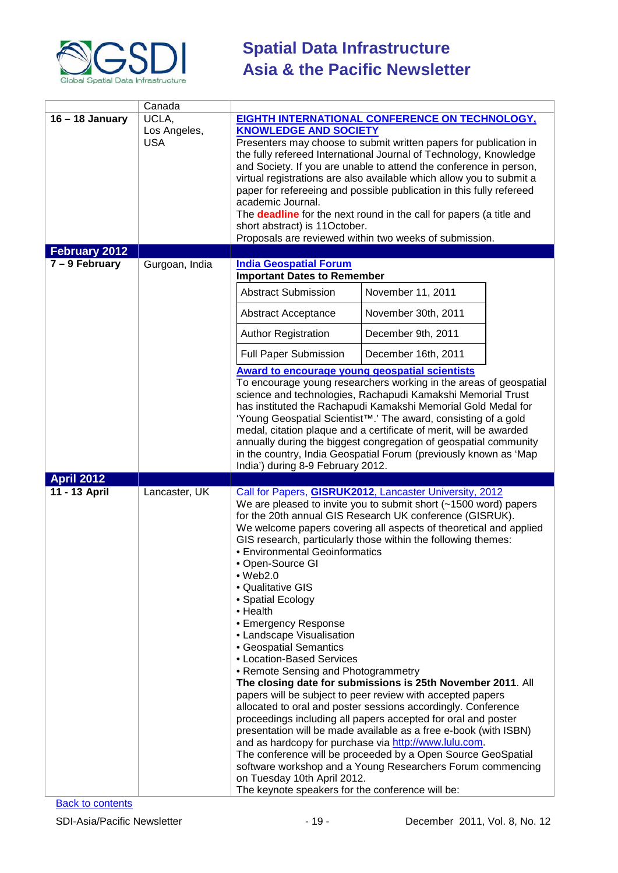

|                   | Canada                              |                                                                                                                                                                                                                                                                                                                                                                      |                                                                                                                                                                                                                                                                                                                                                                                                                                                                                                                                                                                                                                                                                                                                                                                                                                                         |
|-------------------|-------------------------------------|----------------------------------------------------------------------------------------------------------------------------------------------------------------------------------------------------------------------------------------------------------------------------------------------------------------------------------------------------------------------|---------------------------------------------------------------------------------------------------------------------------------------------------------------------------------------------------------------------------------------------------------------------------------------------------------------------------------------------------------------------------------------------------------------------------------------------------------------------------------------------------------------------------------------------------------------------------------------------------------------------------------------------------------------------------------------------------------------------------------------------------------------------------------------------------------------------------------------------------------|
| $16 - 18$ January | UCLA,<br>Los Angeles,<br><b>USA</b> | <b>KNOWLEDGE AND SOCIETY</b><br>academic Journal.<br>short abstract) is 11October.                                                                                                                                                                                                                                                                                   | <b>EIGHTH INTERNATIONAL CONFERENCE ON TECHNOLOGY,</b><br>Presenters may choose to submit written papers for publication in<br>the fully refereed International Journal of Technology, Knowledge<br>and Society. If you are unable to attend the conference in person,<br>virtual registrations are also available which allow you to submit a<br>paper for refereeing and possible publication in this fully refereed<br>The <b>deadline</b> for the next round in the call for papers (a title and<br>Proposals are reviewed within two weeks of submission.                                                                                                                                                                                                                                                                                           |
| February 2012     |                                     |                                                                                                                                                                                                                                                                                                                                                                      |                                                                                                                                                                                                                                                                                                                                                                                                                                                                                                                                                                                                                                                                                                                                                                                                                                                         |
| $7 - 9$ February  | Gurgoan, India                      | <b>India Geospatial Forum</b><br><b>Important Dates to Remember</b><br><b>Abstract Submission</b><br>Abstract Acceptance<br><b>Author Registration</b><br><b>Full Paper Submission</b><br><b>Award to encourage young geospatial scientists</b>                                                                                                                      | November 11, 2011<br>November 30th, 2011<br>December 9th, 2011<br>December 16th, 2011<br>To encourage young researchers working in the areas of geospatial<br>science and technologies, Rachapudi Kamakshi Memorial Trust<br>has instituted the Rachapudi Kamakshi Memorial Gold Medal for<br>'Young Geospatial Scientist <sup>™</sup> .' The award, consisting of a gold<br>medal, citation plaque and a certificate of merit, will be awarded<br>annually during the biggest congregation of geospatial community<br>in the country, India Geospatial Forum (previously known as 'Map                                                                                                                                                                                                                                                                 |
|                   |                                     | India') during 8-9 February 2012.                                                                                                                                                                                                                                                                                                                                    |                                                                                                                                                                                                                                                                                                                                                                                                                                                                                                                                                                                                                                                                                                                                                                                                                                                         |
| <b>April 2012</b> |                                     |                                                                                                                                                                                                                                                                                                                                                                      |                                                                                                                                                                                                                                                                                                                                                                                                                                                                                                                                                                                                                                                                                                                                                                                                                                                         |
| 11 - 13 April     | Lancaster, UK                       | • Environmental Geoinformatics<br>• Open-Source GI<br>$•$ Web2.0<br>• Qualitative GIS<br>• Spatial Ecology<br>$\bullet$ Health<br>• Emergency Response<br>• Landscape Visualisation<br>• Geospatial Semantics<br>• Location-Based Services<br>• Remote Sensing and Photogrammetry<br>on Tuesday 10th April 2012.<br>The keynote speakers for the conference will be: | Call for Papers, GISRUK2012, Lancaster University, 2012<br>We are pleased to invite you to submit short (~1500 word) papers<br>for the 20th annual GIS Research UK conference (GISRUK).<br>We welcome papers covering all aspects of theoretical and applied<br>GIS research, particularly those within the following themes:<br>The closing date for submissions is 25th November 2011. All<br>papers will be subject to peer review with accepted papers<br>allocated to oral and poster sessions accordingly. Conference<br>proceedings including all papers accepted for oral and poster<br>presentation will be made available as a free e-book (with ISBN)<br>and as hardcopy for purchase via http://www.lulu.com.<br>The conference will be proceeded by a Open Source GeoSpatial<br>software workshop and a Young Researchers Forum commencing |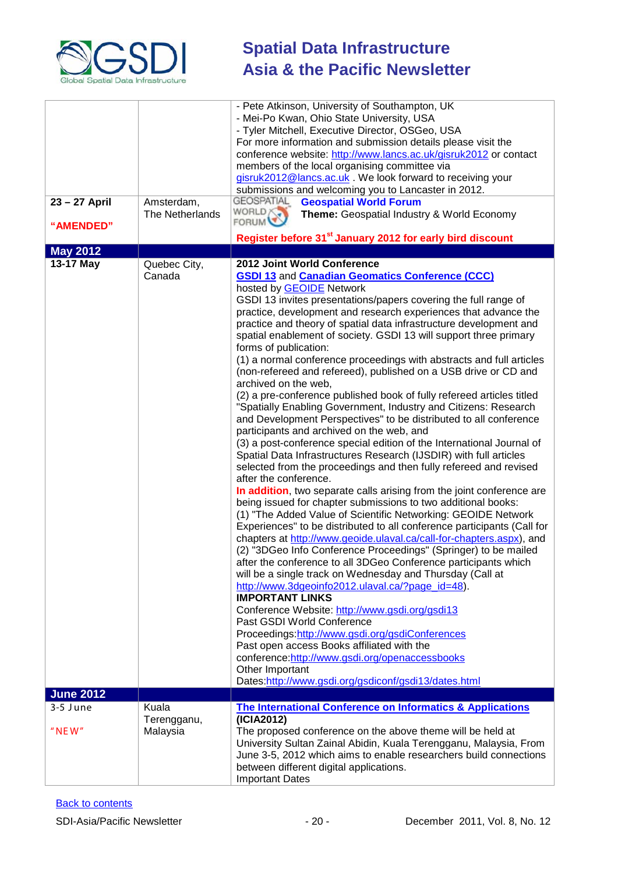

|                  |                               | - Pete Atkinson, University of Southampton, UK                                         |
|------------------|-------------------------------|----------------------------------------------------------------------------------------|
|                  |                               | - Mei-Po Kwan, Ohio State University, USA                                              |
|                  |                               | - Tyler Mitchell, Executive Director, OSGeo, USA                                       |
|                  |                               | For more information and submission details please visit the                           |
|                  |                               | conference website: http://www.lancs.ac.uk/gisruk2012 or contact                       |
|                  |                               | members of the local organising committee via                                          |
|                  |                               | gisruk2012@lancs.ac.uk . We look forward to receiving your                             |
|                  |                               | submissions and welcoming you to Lancaster in 2012.<br><b>GEOSPATIAL</b>               |
| 23 - 27 April    | Amsterdam,<br>The Netherlands | <b>Geospatial World Forum</b><br>WORLD X<br>Theme: Geospatial Industry & World Economy |
| "AMENDED"        |                               | <b>FORUM</b>                                                                           |
|                  |                               | Register before 31 <sup>st</sup> January 2012 for early bird discount                  |
| <b>May 2012</b>  |                               |                                                                                        |
| 13-17 May        | Quebec City,                  | 2012 Joint World Conference                                                            |
|                  | Canada                        | <b>GSDI 13 and Canadian Geomatics Conference (CCC)</b>                                 |
|                  |                               | hosted by <b>GEOIDE</b> Network                                                        |
|                  |                               | GSDI 13 invites presentations/papers covering the full range of                        |
|                  |                               | practice, development and research experiences that advance the                        |
|                  |                               | practice and theory of spatial data infrastructure development and                     |
|                  |                               | spatial enablement of society. GSDI 13 will support three primary                      |
|                  |                               | forms of publication:                                                                  |
|                  |                               | (1) a normal conference proceedings with abstracts and full articles                   |
|                  |                               | (non-refereed and refereed), published on a USB drive or CD and                        |
|                  |                               | archived on the web,                                                                   |
|                  |                               | (2) a pre-conference published book of fully refereed articles titled                  |
|                  |                               | "Spatially Enabling Government, Industry and Citizens: Research                        |
|                  |                               | and Development Perspectives" to be distributed to all conference                      |
|                  |                               | participants and archived on the web, and                                              |
|                  |                               | (3) a post-conference special edition of the International Journal of                  |
|                  |                               | Spatial Data Infrastructures Research (IJSDIR) with full articles                      |
|                  |                               | selected from the proceedings and then fully refereed and revised                      |
|                  |                               | after the conference.                                                                  |
|                  |                               | In addition, two separate calls arising from the joint conference are                  |
|                  |                               | being issued for chapter submissions to two additional books:                          |
|                  |                               | (1) "The Added Value of Scientific Networking: GEOIDE Network                          |
|                  |                               | Experiences" to be distributed to all conference participants (Call for                |
|                  |                               | chapters at http://www.geoide.ulaval.ca/call-for-chapters.aspx), and                   |
|                  |                               | (2) "3DGeo Info Conference Proceedings" (Springer) to be mailed                        |
|                  |                               | after the conference to all 3DGeo Conference participants which                        |
|                  |                               | will be a single track on Wednesday and Thursday (Call at                              |
|                  |                               | http://www.3dgeoinfo2012.ulaval.ca/?page_id=48).<br><b>IMPORTANT LINKS</b>             |
|                  |                               | Conference Website: http://www.gsdi.org/gsdi13                                         |
|                  |                               | Past GSDI World Conference                                                             |
|                  |                               | Proceedings:http://www.gsdi.org/gsdiConferences                                        |
|                  |                               | Past open access Books affiliated with the                                             |
|                  |                               | conference:http://www.gsdi.org/openaccessbooks                                         |
|                  |                               | Other Important                                                                        |
|                  |                               | Dates:http://www.gsdi.org/gsdiconf/gsdi13/dates.html                                   |
| <b>June 2012</b> |                               |                                                                                        |
| $3-5$ June       | Kuala                         | <b>The International Conference on Informatics &amp; Applications</b>                  |
|                  | Terengganu,                   | (ICIA2012)                                                                             |
| $"$ NEW"         | Malaysia                      | The proposed conference on the above theme will be held at                             |
|                  |                               | University Sultan Zainal Abidin, Kuala Terengganu, Malaysia, From                      |
|                  |                               | June 3-5, 2012 which aims to enable researchers build connections                      |
|                  |                               | between different digital applications.                                                |
|                  |                               | <b>Important Dates</b>                                                                 |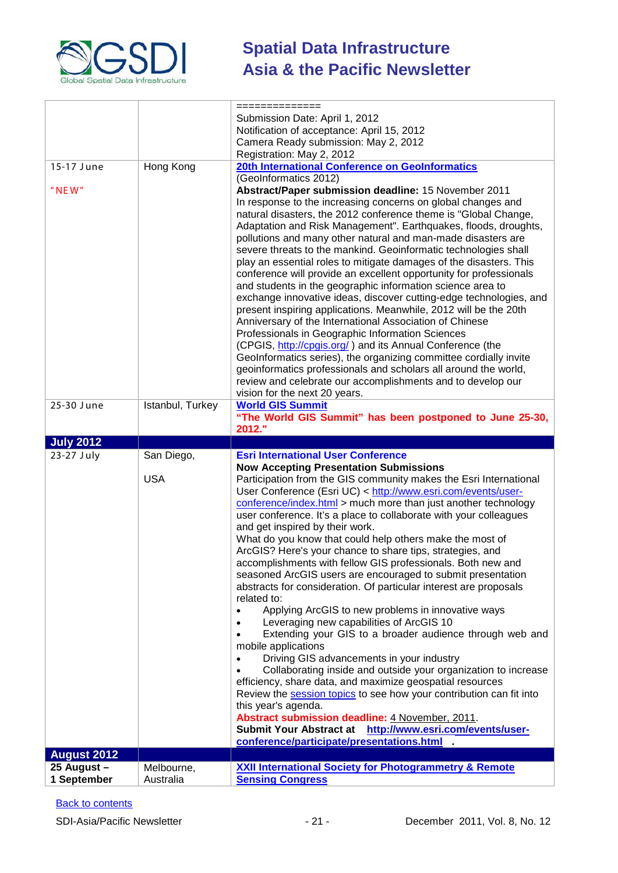

|                                   |                  | ==============                                                                                                                  |
|-----------------------------------|------------------|---------------------------------------------------------------------------------------------------------------------------------|
|                                   |                  | Submission Date: April 1, 2012                                                                                                  |
|                                   |                  | Notification of acceptance: April 15, 2012                                                                                      |
|                                   |                  | Camera Ready submission: May 2, 2012                                                                                            |
|                                   |                  | Registration: May 2, 2012                                                                                                       |
| 15-17 June                        | Hong Kong        | 20th International Conference on GeoInformatics                                                                                 |
|                                   |                  | (GeoInformatics 2012)                                                                                                           |
| $"$ NEW"                          |                  | Abstract/Paper submission deadline: 15 November 2011                                                                            |
|                                   |                  | In response to the increasing concerns on global changes and                                                                    |
|                                   |                  | natural disasters, the 2012 conference theme is "Global Change,                                                                 |
|                                   |                  | Adaptation and Risk Management". Earthquakes, floods, droughts,<br>pollutions and many other natural and man-made disasters are |
|                                   |                  | severe threats to the mankind. Geoinformatic technologies shall                                                                 |
|                                   |                  | play an essential roles to mitigate damages of the disasters. This                                                              |
|                                   |                  | conference will provide an excellent opportunity for professionals                                                              |
|                                   |                  | and students in the geographic information science area to                                                                      |
|                                   |                  | exchange innovative ideas, discover cutting-edge technologies, and                                                              |
|                                   |                  | present inspiring applications. Meanwhile, 2012 will be the 20th                                                                |
|                                   |                  | Anniversary of the International Association of Chinese                                                                         |
|                                   |                  | Professionals in Geographic Information Sciences                                                                                |
|                                   |                  | (CPGIS, http://cpgis.org/) and its Annual Conference (the                                                                       |
|                                   |                  | GeoInformatics series), the organizing committee cordially invite                                                               |
|                                   |                  | geoinformatics professionals and scholars all around the world,                                                                 |
|                                   |                  | review and celebrate our accomplishments and to develop our                                                                     |
|                                   |                  | vision for the next 20 years.                                                                                                   |
| 25-30 June                        | Istanbul, Turkey | <b>World GIS Summit</b>                                                                                                         |
|                                   |                  | "The World GIS Summit" has been postponed to June 25-30,<br>2012."                                                              |
|                                   |                  |                                                                                                                                 |
|                                   |                  |                                                                                                                                 |
| <b>July 2012</b>                  |                  |                                                                                                                                 |
| 23-27 July                        | San Diego,       | <b>Esri International User Conference</b>                                                                                       |
|                                   |                  | <b>Now Accepting Presentation Submissions</b>                                                                                   |
|                                   | <b>USA</b>       | Participation from the GIS community makes the Esri International                                                               |
|                                   |                  | User Conference (Esri UC) < http://www.esri.com/events/user-<br>conference/index.html > much more than just another technology  |
|                                   |                  | user conference. It's a place to collaborate with your colleagues                                                               |
|                                   |                  | and get inspired by their work.                                                                                                 |
|                                   |                  | What do you know that could help others make the most of                                                                        |
|                                   |                  | ArcGIS? Here's your chance to share tips, strategies, and                                                                       |
|                                   |                  | accomplishments with fellow GIS professionals. Both new and                                                                     |
|                                   |                  | seasoned ArcGIS users are encouraged to submit presentation                                                                     |
|                                   |                  | abstracts for consideration. Of particular interest are proposals                                                               |
|                                   |                  | related to:                                                                                                                     |
|                                   |                  | Applying ArcGIS to new problems in innovative ways                                                                              |
|                                   |                  | Leveraging new capabilities of ArcGIS 10                                                                                        |
|                                   |                  | Extending your GIS to a broader audience through web and                                                                        |
|                                   |                  | mobile applications<br>Driving GIS advancements in your industry                                                                |
|                                   |                  | Collaborating inside and outside your organization to increase                                                                  |
|                                   |                  | efficiency, share data, and maximize geospatial resources                                                                       |
|                                   |                  | Review the session topics to see how your contribution can fit into                                                             |
|                                   |                  | this year's agenda.                                                                                                             |
|                                   |                  | Abstract submission deadline: 4 November, 2011.                                                                                 |
|                                   |                  | Submit Your Abstract at http://www.esri.com/events/user-                                                                        |
|                                   |                  | conference/participate/presentations.html                                                                                       |
| <b>August 2012</b><br>25 August - | Melbourne,       | <b>XXII International Society for Photogrammetry &amp; Remote</b>                                                               |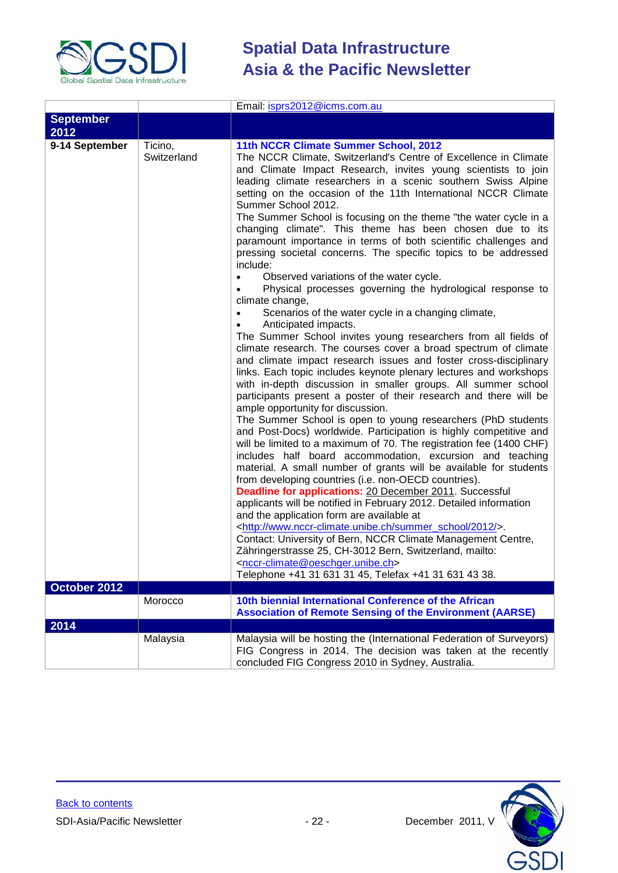

|                                |                        | Email: isprs2012@icms.com.au                                                                                                                                                                                                                                                                                                                                                                                                                                                                                                                                                                                                                                                                                                                                                                                                                                                                                                                                                                                                                                                                                                                                                                                                                                                                                                                                                                                                                                                                                                                                                                                                                                                                                                                                                                                                                                                                                                                                                                                                                                                                                                                                                                                             |
|--------------------------------|------------------------|--------------------------------------------------------------------------------------------------------------------------------------------------------------------------------------------------------------------------------------------------------------------------------------------------------------------------------------------------------------------------------------------------------------------------------------------------------------------------------------------------------------------------------------------------------------------------------------------------------------------------------------------------------------------------------------------------------------------------------------------------------------------------------------------------------------------------------------------------------------------------------------------------------------------------------------------------------------------------------------------------------------------------------------------------------------------------------------------------------------------------------------------------------------------------------------------------------------------------------------------------------------------------------------------------------------------------------------------------------------------------------------------------------------------------------------------------------------------------------------------------------------------------------------------------------------------------------------------------------------------------------------------------------------------------------------------------------------------------------------------------------------------------------------------------------------------------------------------------------------------------------------------------------------------------------------------------------------------------------------------------------------------------------------------------------------------------------------------------------------------------------------------------------------------------------------------------------------------------|
| <b>September</b><br>2012       |                        |                                                                                                                                                                                                                                                                                                                                                                                                                                                                                                                                                                                                                                                                                                                                                                                                                                                                                                                                                                                                                                                                                                                                                                                                                                                                                                                                                                                                                                                                                                                                                                                                                                                                                                                                                                                                                                                                                                                                                                                                                                                                                                                                                                                                                          |
| 9-14 September<br>October 2012 | Ticino,<br>Switzerland | 11th NCCR Climate Summer School, 2012<br>The NCCR Climate, Switzerland's Centre of Excellence in Climate<br>and Climate Impact Research, invites young scientists to join<br>leading climate researchers in a scenic southern Swiss Alpine<br>setting on the occasion of the 11th International NCCR Climate<br>Summer School 2012.<br>The Summer School is focusing on the theme "the water cycle in a<br>changing climate". This theme has been chosen due to its<br>paramount importance in terms of both scientific challenges and<br>pressing societal concerns. The specific topics to be addressed<br>include:<br>Observed variations of the water cycle.<br>Physical processes governing the hydrological response to<br>climate change,<br>Scenarios of the water cycle in a changing climate,<br>Anticipated impacts.<br>The Summer School invites young researchers from all fields of<br>climate research. The courses cover a broad spectrum of climate<br>and climate impact research issues and foster cross-disciplinary<br>links. Each topic includes keynote plenary lectures and workshops<br>with in-depth discussion in smaller groups. All summer school<br>participants present a poster of their research and there will be<br>ample opportunity for discussion.<br>The Summer School is open to young researchers (PhD students<br>and Post-Docs) worldwide. Participation is highly competitive and<br>will be limited to a maximum of 70. The registration fee (1400 CHF)<br>includes half board accommodation, excursion and teaching<br>material. A small number of grants will be available for students<br>from developing countries (i.e. non-OECD countries).<br><b>Deadline for applications: 20 December 2011. Successful</b><br>applicants will be notified in February 2012. Detailed information<br>and the application form are available at<br><http: 2012="" summer_school="" www.nccr-climate.unibe.ch=""></http:> .<br>Contact: University of Bern, NCCR Climate Management Centre,<br>Zähringerstrasse 25, CH-3012 Bern, Switzerland, mailto:<br><nccr-climate@oeschger.unibe.ch><br/>Telephone +41 31 631 31 45, Telefax +41 31 631 43 38.</nccr-climate@oeschger.unibe.ch> |
|                                | Morocco                | 10th biennial International Conference of the African                                                                                                                                                                                                                                                                                                                                                                                                                                                                                                                                                                                                                                                                                                                                                                                                                                                                                                                                                                                                                                                                                                                                                                                                                                                                                                                                                                                                                                                                                                                                                                                                                                                                                                                                                                                                                                                                                                                                                                                                                                                                                                                                                                    |
|                                |                        | <b>Association of Remote Sensing of the Environment (AARSE)</b>                                                                                                                                                                                                                                                                                                                                                                                                                                                                                                                                                                                                                                                                                                                                                                                                                                                                                                                                                                                                                                                                                                                                                                                                                                                                                                                                                                                                                                                                                                                                                                                                                                                                                                                                                                                                                                                                                                                                                                                                                                                                                                                                                          |
| 2014                           |                        |                                                                                                                                                                                                                                                                                                                                                                                                                                                                                                                                                                                                                                                                                                                                                                                                                                                                                                                                                                                                                                                                                                                                                                                                                                                                                                                                                                                                                                                                                                                                                                                                                                                                                                                                                                                                                                                                                                                                                                                                                                                                                                                                                                                                                          |
|                                | Malaysia               | Malaysia will be hosting the (International Federation of Surveyors)<br>FIG Congress in 2014. The decision was taken at the recently<br>concluded FIG Congress 2010 in Sydney, Australia.                                                                                                                                                                                                                                                                                                                                                                                                                                                                                                                                                                                                                                                                                                                                                                                                                                                                                                                                                                                                                                                                                                                                                                                                                                                                                                                                                                                                                                                                                                                                                                                                                                                                                                                                                                                                                                                                                                                                                                                                                                |